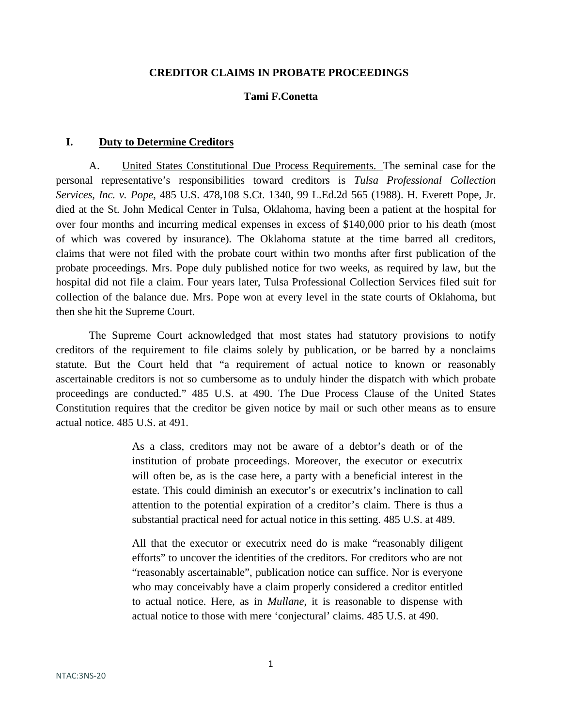## **CREDITOR CLAIMS IN PROBATE PROCEEDINGS**

## **Tami F.Conetta**

## **I. Duty to Determine Creditors**

A. United States Constitutional Due Process Requirements. The seminal case for the personal representative's responsibilities toward creditors is *Tulsa Professional Collection Services, Inc. v. Pope*, 485 U.S. 478,108 S.Ct. 1340, 99 L.Ed.2d 565 (1988). H. Everett Pope, Jr. died at the St. John Medical Center in Tulsa, Oklahoma, having been a patient at the hospital for over four months and incurring medical expenses in excess of \$140,000 prior to his death (most of which was covered by insurance). The Oklahoma statute at the time barred all creditors, claims that were not filed with the probate court within two months after first publication of the probate proceedings. Mrs. Pope duly published notice for two weeks, as required by law, but the hospital did not file a claim. Four years later, Tulsa Professional Collection Services filed suit for collection of the balance due. Mrs. Pope won at every level in the state courts of Oklahoma, but then she hit the Supreme Court.

The Supreme Court acknowledged that most states had statutory provisions to notify creditors of the requirement to file claims solely by publication, or be barred by a nonclaims statute. But the Court held that "a requirement of actual notice to known or reasonably ascertainable creditors is not so cumbersome as to unduly hinder the dispatch with which probate proceedings are conducted." 485 U.S. at 490. The Due Process Clause of the United States Constitution requires that the creditor be given notice by mail or such other means as to ensure actual notice. 485 U.S. at 491.

> As a class, creditors may not be aware of a debtor's death or of the institution of probate proceedings. Moreover, the executor or executrix will often be, as is the case here, a party with a beneficial interest in the estate. This could diminish an executor's or executrix's inclination to call attention to the potential expiration of a creditor's claim. There is thus a substantial practical need for actual notice in this setting. 485 U.S. at 489.

> All that the executor or executrix need do is make "reasonably diligent efforts" to uncover the identities of the creditors. For creditors who are not "reasonably ascertainable", publication notice can suffice. Nor is everyone who may conceivably have a claim properly considered a creditor entitled to actual notice. Here, as in *Mullane*, it is reasonable to dispense with actual notice to those with mere 'conjectural' claims. 485 U.S. at 490.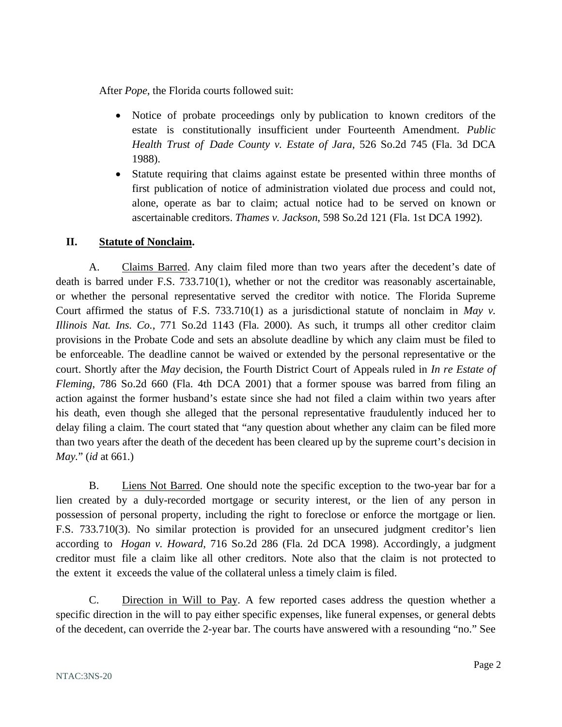After *Pope*, the Florida courts followed suit:

- Notice of probate proceedings only by publication to known creditors of the estate is constitutionally insufficient under Fourteenth Amendment. *Public Health Trust of Dade County v. Estate of Jara*, 526 So.2d 745 (Fla. 3d DCA 1988).
- Statute requiring that claims against estate be presented within three months of first publication of notice of administration violated due process and could not, alone, operate as bar to claim; actual notice had to be served on known or ascertainable creditors. *Thames v. Jackson*, 598 So.2d 121 (Fla. 1st DCA 1992).

# **II. Statute of Nonclaim.**

A. Claims Barred. Any claim filed more than two years after the decedent's date of death is barred under F.S. 733.710(1), whether or not the creditor was reasonably ascertainable, or whether the personal representative served the creditor with notice. The Florida Supreme Court affirmed the status of F.S. 733.710(1) as a jurisdictional statute of nonclaim in *May v. Illinois Nat. Ins. Co.*, 771 So.2d 1143 (Fla. 2000). As such, it trumps all other creditor claim provisions in the Probate Code and sets an absolute deadline by which any claim must be filed to be enforceable. The deadline cannot be waived or extended by the personal representative or the court. Shortly after the *May* decision, the Fourth District Court of Appeals ruled in *In re Estate of Fleming*, 786 So.2d 660 (Fla. 4th DCA 2001) that a former spouse was barred from filing an action against the former husband's estate since she had not filed a claim within two years after his death, even though she alleged that the personal representative fraudulently induced her to delay filing a claim. The court stated that "any question about whether any claim can be filed more than two years after the death of the decedent has been cleared up by the supreme court's decision in *May.*" (*id* at 661.)

B. Liens Not Barred. One should note the specific exception to the two-year bar for a lien created by a duly-recorded mortgage or security interest, or the lien of any person in possession of personal property, including the right to foreclose or enforce the mortgage or lien. F.S. 733.710(3). No similar protection is provided for an unsecured judgment creditor's lien according to *Hogan v. Howard*, 716 So.2d 286 (Fla. 2d DCA 1998). Accordingly, a judgment creditor must file a claim like all other creditors. Note also that the claim is not protected to the extent it exceeds the value of the collateral unless a timely claim is filed.

C. Direction in Will to Pay. A few reported cases address the question whether a specific direction in the will to pay either specific expenses, like funeral expenses, or general debts of the decedent, can override the 2-year bar. The courts have answered with a resounding "no." See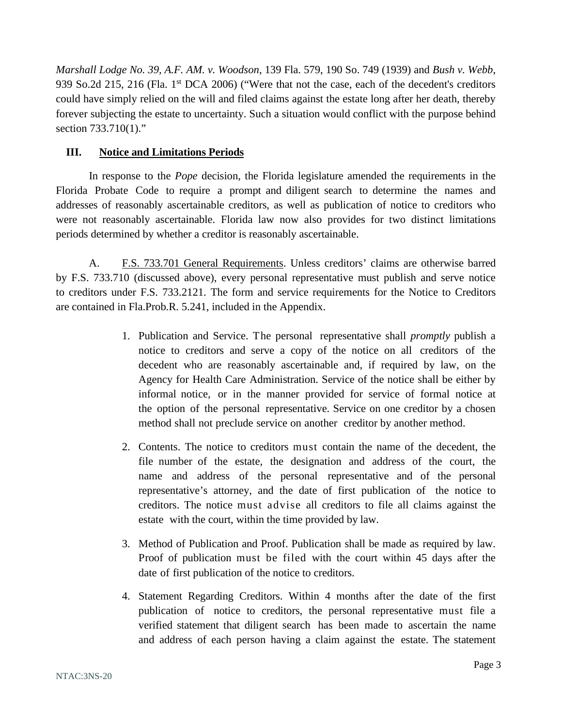*Marshall Lodge No. 39, A.F. AM. v. Woodson*, 139 Fla. 579, 190 So. 749 (1939) and *Bush v. Webb*, 939 So.2d 215, 216 (Fla. 1<sup>st</sup> DCA 2006) ("Were that not the case, each of the decedent's creditors could have simply relied on the will and filed claims against the estate long after her death, thereby forever subjecting the estate to uncertainty. Such a situation would conflict with the purpose behind section 733.710(1)."

## **III. Notice and Limitations Periods**

In response to the *Pope* decision, the Florida legislature amended the requirements in the Florida Probate Code to require a prompt and diligent search to determine the names and addresses of reasonably ascertainable creditors, as well as publication of notice to creditors who were not reasonably ascertainable. Florida law now also provides for two distinct limitations periods determined by whether a creditor is reasonably ascertainable.

A. F.S. 733.701 General Requirements. Unless creditors' claims are otherwise barred by F.S. 733.710 (discussed above), every personal representative must publish and serve notice to creditors under F.S. 733.2121. The form and service requirements for the Notice to Creditors are contained in Fla.Prob.R. 5.241, included in the Appendix.

- 1. Publication and Service. The personal representative shall *promptly* publish a notice to creditors and serve a copy of the notice on all creditors of the decedent who are reasonably ascertainable and, if required by law, on the Agency for Health Care Administration. Service of the notice shall be either by informal notice, or in the manner provided for service of formal notice at the option of the personal representative. Service on one creditor by a chosen method shall not preclude service on another creditor by another method.
- 2. Contents. The notice to creditors must contain the name of the decedent, the file number of the estate, the designation and address of the court, the name and address of the personal representative and of the personal representative's attorney, and the date of first publication of the notice to creditors. The notice must advise all creditors to file all claims against the estate with the court, within the time provided by law.
- 3. Method of Publication and Proof. Publication shall be made as required by law. Proof of publication must be filed with the court within 45 days after the date of first publication of the notice to creditors.
- 4. Statement Regarding Creditors. Within 4 months after the date of the first publication of notice to creditors, the personal representative must file a verified statement that diligent search has been made to ascertain the name and address of each person having a claim against the estate. The statement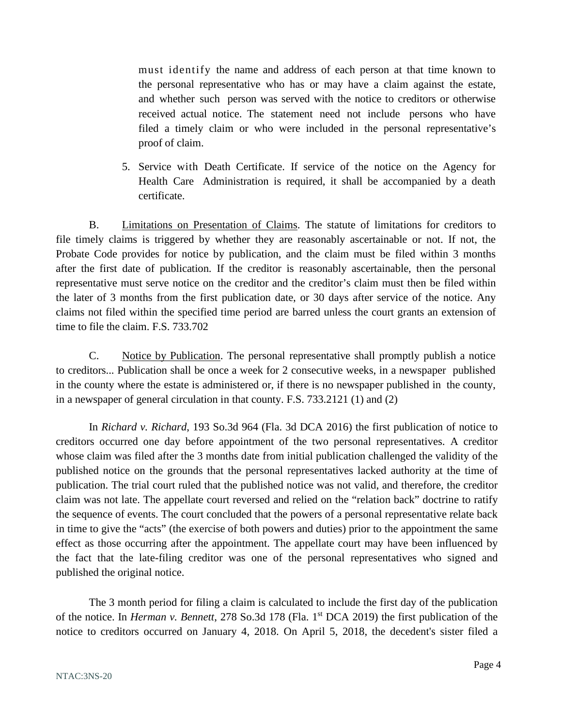must identify the name and address of each person at that time known to the personal representative who has or may have a claim against the estate, and whether such person was served with the notice to creditors or otherwise received actual notice. The statement need not include persons who have filed a timely claim or who were included in the personal representative's proof of claim.

5. Service with Death Certificate. If service of the notice on the Agency for Health Care Administration is required, it shall be accompanied by a death certificate.

B. Limitations on Presentation of Claims. The statute of limitations for creditors to file timely claims is triggered by whether they are reasonably ascertainable or not. If not, the Probate Code provides for notice by publication, and the claim must be filed within 3 months after the first date of publication. If the creditor is reasonably ascertainable, then the personal representative must serve notice on the creditor and the creditor's claim must then be filed within the later of 3 months from the first publication date, or 30 days after service of the notice. Any claims not filed within the specified time period are barred unless the court grants an extension of time to file the claim. F.S. 733.702

C. Notice by Publication. The personal representative shall promptly publish a notice to creditors... Publication shall be once a week for 2 consecutive weeks, in a newspaper published in the county where the estate is administered or, if there is no newspaper published in the county, in a newspaper of general circulation in that county. F.S. 733.2121 (1) and (2)

In *Richard v. Richard*, 193 So.3d 964 (Fla. 3d DCA 2016) the first publication of notice to creditors occurred one day before appointment of the two personal representatives. A creditor whose claim was filed after the 3 months date from initial publication challenged the validity of the published notice on the grounds that the personal representatives lacked authority at the time of publication. The trial court ruled that the published notice was not valid, and therefore, the creditor claim was not late. The appellate court reversed and relied on the "relation back" doctrine to ratify the sequence of events. The court concluded that the powers of a personal representative relate back in time to give the "acts" (the exercise of both powers and duties) prior to the appointment the same effect as those occurring after the appointment. The appellate court may have been influenced by the fact that the late-filing creditor was one of the personal representatives who signed and published the original notice.

The 3 month period for filing a claim is calculated to include the first day of the publication of the notice. In *Herman v. Bennett*, 278 So.3d 178 (Fla. 1st DCA 2019) the first publication of the notice to creditors occurred on January 4, 2018. On April 5, 2018, the decedent's sister filed a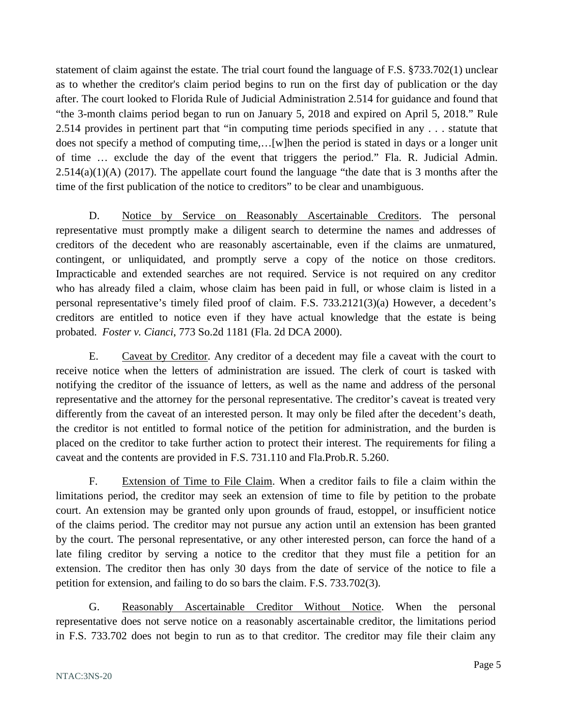statement of claim against the estate. The trial court found the language of F.S. §733.702(1) unclear as to whether the creditor's claim period begins to run on the first day of publication or the day after. The court looked to Florida Rule of Judicial Administration 2.514 for guidance and found that "the 3-month claims period began to run on January 5, 2018 and expired on April 5, 2018." Rule 2.514 provides in pertinent part that "in computing time periods specified in any . . . statute that does not specify a method of computing time,…[w]hen the period is stated in days or a longer unit of time … exclude the day of the event that triggers the period." Fla. R. Judicial Admin.  $2.514(a)(1)(A)$  (2017). The appellate court found the language "the date that is 3 months after the time of the first publication of the notice to creditors" to be clear and unambiguous.

D. Notice by Service on Reasonably Ascertainable Creditors. The personal representative must promptly make a diligent search to determine the names and addresses of creditors of the decedent who are reasonably ascertainable, even if the claims are unmatured, contingent, or unliquidated, and promptly serve a copy of the notice on those creditors. Impracticable and extended searches are not required. Service is not required on any creditor who has already filed a claim, whose claim has been paid in full, or whose claim is listed in a personal representative's timely filed proof of claim. F.S. 733.2121(3)(a) However, a decedent's creditors are entitled to notice even if they have actual knowledge that the estate is being probated. *Foster v. Cianci*, 773 So.2d 1181 (Fla. 2d DCA 2000).

E. Caveat by Creditor. Any creditor of a decedent may file a caveat with the court to receive notice when the letters of administration are issued. The clerk of court is tasked with notifying the creditor of the issuance of letters, as well as the name and address of the personal representative and the attorney for the personal representative. The creditor's caveat is treated very differently from the caveat of an interested person. It may only be filed after the decedent's death, the creditor is not entitled to formal notice of the petition for administration, and the burden is placed on the creditor to take further action to protect their interest. The requirements for filing a caveat and the contents are provided in F.S. 731.110 and Fla.Prob.R. 5.260.

F. Extension of Time to File Claim. When a creditor fails to file a claim within the limitations period, the creditor may seek an extension of time to file by petition to the probate court. An extension may be granted only upon grounds of fraud, estoppel, or insufficient notice of the claims period. The creditor may not pursue any action until an extension has been granted by the court. The personal representative, or any other interested person, can force the hand of a late filing creditor by serving a notice to the creditor that they must file a petition for an extension. The creditor then has only 30 days from the date of service of the notice to file a petition for extension, and failing to do so bars the claim. F.S. 733.702(3).

G. Reasonably Ascertainable Creditor Without Notice. When the personal representative does not serve notice on a reasonably ascertainable creditor, the limitations period in F.S. 733.702 does not begin to run as to that creditor. The creditor may file their claim any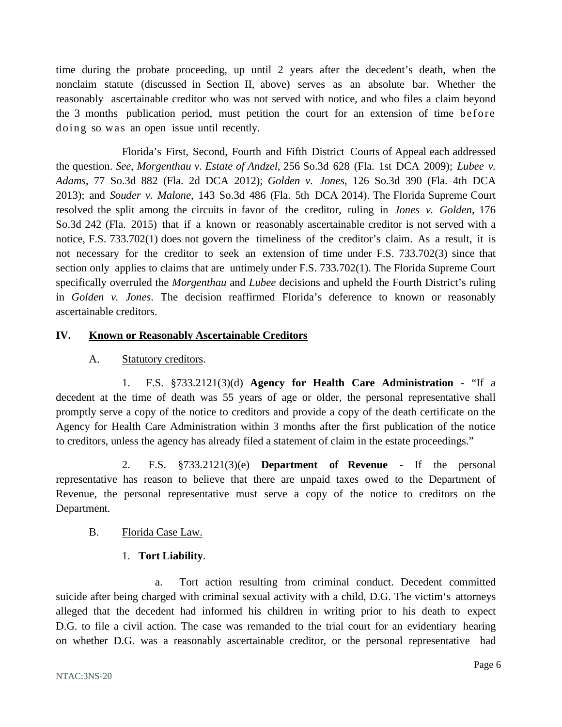time during the probate proceeding, up until 2 years after the decedent's death, when the nonclaim statute (discussed in Section II, above) serves as an absolute bar. Whether the reasonably ascertainable creditor who was not served with notice, and who files a claim beyond the 3 months publication period, must petition the court for an extension of time before doing so was an open issue until recently.

Florida's First, Second, Fourth and Fifth District Courts of Appeal each addressed the question. *See*, *Morgenthau v. Estate of Andzel*, 256 So.3d 628 (Fla. 1st DCA 2009); *Lubee v. Adams*, 77 So.3d 882 (Fla. 2d DCA 2012); *Golden v. Jones*, 126 So.3d 390 (Fla. 4th DCA 2013); and *Souder v. Malone*, 143 So.3d 486 (Fla. 5th DCA 2014). The Florida Supreme Court resolved the split among the circuits in favor of the creditor, ruling in *Jones v. Golden*, 176 So.3d 242 (Fla. 2015) that if a known or reasonably ascertainable creditor is not served with a notice, F.S. 733.702(1) does not govern the timeliness of the creditor's claim. As a result, it is not necessary for the creditor to seek an extension of time under F.S. 733.702(3) since that section only applies to claims that are untimely under F.S. 733.702(1). The Florida Supreme Court specifically overruled the *Morgenthau* and *Lubee* decisions and upheld the Fourth District's ruling in *Golden v. Jones*. The decision reaffirmed Florida's deference to known or reasonably ascertainable creditors.

# **IV. Known or Reasonably Ascertainable Creditors**

## A. Statutory creditors.

1. F.S. §733.2121(3)(d) **Agency for Health Care Administration** - "If a decedent at the time of death was 55 years of age or older, the personal representative shall promptly serve a copy of the notice to creditors and provide a copy of the death certificate on the Agency for Health Care Administration within 3 months after the first publication of the notice to creditors, unless the agency has already filed a statement of claim in the estate proceedings."

2. F.S. §733.2121(3)(e) **Department of Revenue** - If the personal representative has reason to believe that there are unpaid taxes owed to the Department of Revenue, the personal representative must serve a copy of the notice to creditors on the Department.

# B. Florida Case Law.

# 1. **Tort Liability**.

a. Tort action resulting from criminal conduct. Decedent committed suicide after being charged with criminal sexual activity with a child, D.G. The victim's attorneys alleged that the decedent had informed his children in writing prior to his death to expect D.G. to file a civil action. The case was remanded to the trial court for an evidentiary hearing on whether D.G. was a reasonably ascertainable creditor, or the personal representative had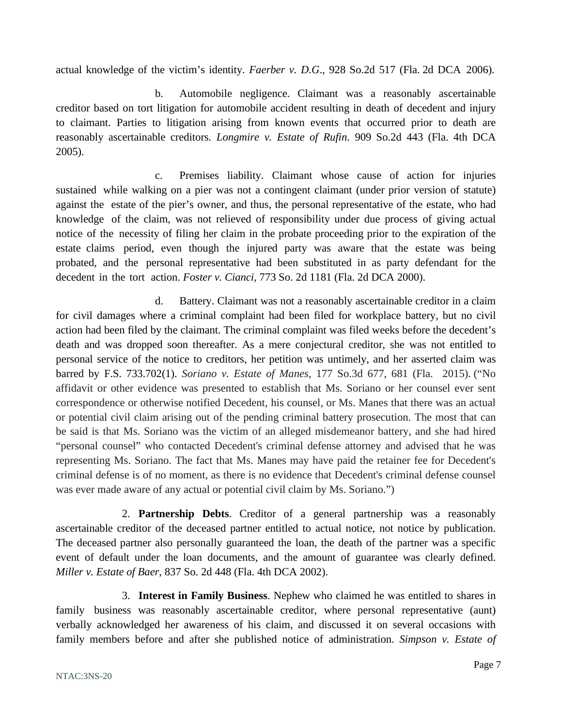actual knowledge of the victim's identity. *Faerber v. D.G*., 928 So.2d 517 (Fla. 2d DCA 2006).

b. Automobile negligence. Claimant was a reasonably ascertainable creditor based on tort litigation for automobile accident resulting in death of decedent and injury to claimant. Parties to litigation arising from known events that occurred prior to death are reasonably ascertainable creditors. *Longmire v. Estate of Rufin*. 909 So.2d 443 (Fla. 4th DCA 2005).

c. Premises liability. Claimant whose cause of action for injuries sustained while walking on a pier was not a contingent claimant (under prior version of statute) against the estate of the pier's owner, and thus, the personal representative of the estate, who had knowledge of the claim, was not relieved of responsibility under due process of giving actual notice of the necessity of filing her claim in the probate proceeding prior to the expiration of the estate claims period, even though the injured party was aware that the estate was being probated, and the personal representative had been substituted in as party defendant for the decedent in the tort action. *Foster v. Cianci,* 773 So. 2d 1181 (Fla. 2d DCA 2000).

d. Battery. Claimant was not a reasonably ascertainable creditor in a claim for civil damages where a criminal complaint had been filed for workplace battery, but no civil action had been filed by the claimant. The criminal complaint was filed weeks before the decedent's death and was dropped soon thereafter. As a mere conjectural creditor, she was not entitled to personal service of the notice to creditors, her petition was untimely, and her asserted claim was barred by F.S. 733.702(1). *Soriano v. Estate of Manes*, 177 So.3d 677, 681 (Fla. 2015). ("No affidavit or other evidence was presented to establish that Ms. Soriano or her counsel ever sent correspondence or otherwise notified Decedent, his counsel, or Ms. Manes that there was an actual or potential civil claim arising out of the pending criminal battery prosecution. The most that can be said is that Ms. Soriano was the victim of an alleged misdemeanor battery, and she had hired "personal counsel" who contacted Decedent's criminal defense attorney and advised that he was representing Ms. Soriano. The fact that Ms. Manes may have paid the retainer fee for Decedent's criminal defense is of no moment, as there is no evidence that Decedent's criminal defense counsel was ever made aware of any actual or potential civil claim by Ms. Soriano.")

2. **Partnership Debts**. Creditor of a general partnership was a reasonably ascertainable creditor of the deceased partner entitled to actual notice, not notice by publication. The deceased partner also personally guaranteed the loan, the death of the partner was a specific event of default under the loan documents, and the amount of guarantee was clearly defined. *Miller v. Estate of Baer*, 837 So. 2d 448 (Fla. 4th DCA 2002).

3. **Interest in Family Business**. Nephew who claimed he was entitled to shares in family business was reasonably ascertainable creditor, where personal representative (aunt) verbally acknowledged her awareness of his claim, and discussed it on several occasions with family members before and after she published notice of administration. *Simpson v. Estate of*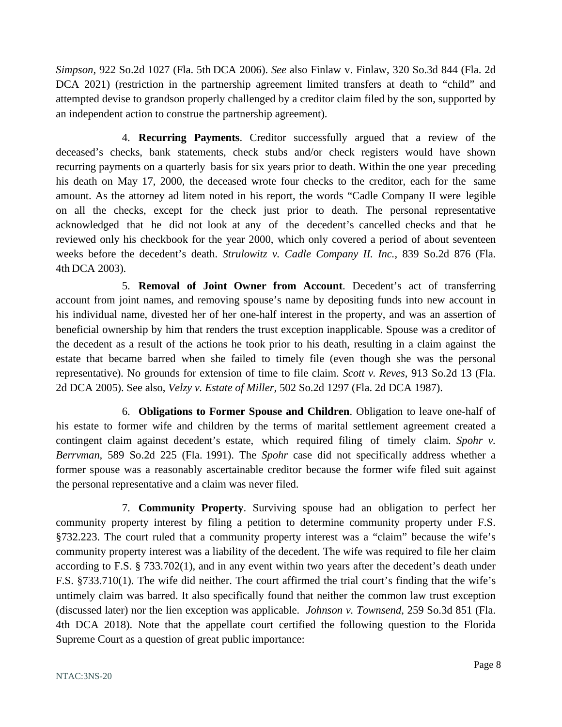*Simpson,* 922 So.2d 1027 (Fla. 5th DCA 2006). *See* also Finlaw v. Finlaw, 320 So.3d 844 (Fla. 2d DCA 2021) (restriction in the partnership agreement limited transfers at death to "child" and attempted devise to grandson properly challenged by a creditor claim filed by the son, supported by an independent action to construe the partnership agreement).

4. **Recurring Payments**. Creditor successfully argued that a review of the deceased's checks, bank statements, check stubs and/or check registers would have shown recurring payments on a quarterly basis for six years prior to death. Within the one year preceding his death on May 17, 2000, the deceased wrote four checks to the creditor, each for the same amount. As the attorney ad litem noted in his report, the words "Cadle Company II were legible on all the checks, except for the check just prior to death. The personal representative acknowledged that he did not look at any of the decedent's cancelled checks and that he reviewed only his checkbook for the year 2000, which only covered a period of about seventeen weeks before the decedent's death. *Strulowitz v. Cadle Company II. Inc.*, 839 So.2d 876 (Fla. 4th DCA 2003).

5. **Removal of Joint Owner from Account**. Decedent's act of transferring account from joint names, and removing spouse's name by depositing funds into new account in his individual name, divested her of her one-half interest in the property, and was an assertion of beneficial ownership by him that renders the trust exception inapplicable. Spouse was a creditor of the decedent as a result of the actions he took prior to his death, resulting in a claim against the estate that became barred when she failed to timely file (even though she was the personal representative). No grounds for extension of time to file claim. *Scott v. Reves,* 913 So.2d 13 (Fla. 2d DCA 2005). See also, *Velzy v. Estate of Miller,* 502 So.2d 1297 (Fla. 2d DCA 1987).

6. **Obligations to Former Spouse and Children**. Obligation to leave one-half of his estate to former wife and children by the terms of marital settlement agreement created a contingent claim against decedent's estate, which required filing of timely claim. *Spohr v. Berrvman,* 589 So.2d 225 (Fla. 1991). The *Spohr* case did not specifically address whether a former spouse was a reasonably ascertainable creditor because the former wife filed suit against the personal representative and a claim was never filed.

7. **Community Property**. Surviving spouse had an obligation to perfect her community property interest by filing a petition to determine community property under F.S. §732.223. The court ruled that a community property interest was a "claim" because the wife's community property interest was a liability of the decedent. The wife was required to file her claim according to F.S. § 733.702(1), and in any event within two years after the decedent's death under F.S. §733.710(1). The wife did neither. The court affirmed the trial court's finding that the wife's untimely claim was barred. It also specifically found that neither the common law trust exception (discussed later) nor the lien exception was applicable. *Johnson v. Townsend*, 259 So.3d 851 (Fla. 4th DCA 2018). Note that the appellate court certified the following question to the Florida Supreme Court as a question of great public importance: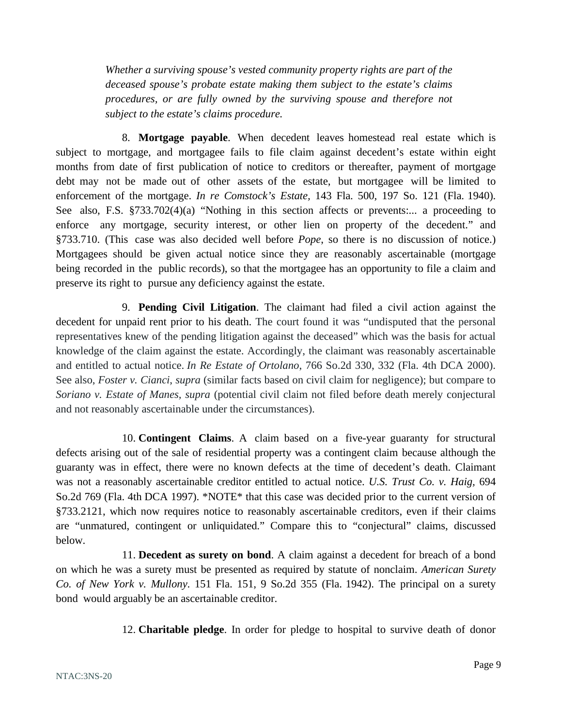*Whether a surviving spouse's vested community property rights are part of the deceased spouse's probate estate making them subject to the estate's claims procedures, or are fully owned by the surviving spouse and therefore not subject to the estate's claims procedure.*

8. **Mortgage payable**. When decedent leaves homestead real estate which is subject to mortgage, and mortgagee fails to file claim against decedent's estate within eight months from date of first publication of notice to creditors or thereafter, payment of mortgage debt may not be made out of other assets of the estate, but mortgagee will be limited to enforcement of the mortgage. *In re Comstock's Estate,* 143 Fla. 500, 197 So. 121 (Fla. 1940). See also, F.S. §733.702(4)(a) "Nothing in this section affects or prevents:... a proceeding to enforce any mortgage, security interest, or other lien on property of the decedent." and §733.710. (This case was also decided well before *Pope*, so there is no discussion of notice.) Mortgagees should be given actual notice since they are reasonably ascertainable (mortgage being recorded in the public records), so that the mortgagee has an opportunity to file a claim and preserve its right to pursue any deficiency against the estate.

9. **Pending Civil Litigation**. The claimant had filed a civil action against the decedent for unpaid rent prior to his death. The court found it was "undisputed that the personal representatives knew of the pending litigation against the deceased" which was the basis for actual knowledge of the claim against the estate. Accordingly, the claimant was reasonably ascertainable and entitled to actual notice. *In Re Estate of Ortolano*, 766 So.2d 330, 332 (Fla. 4th DCA 2000). See also, *Foster v. Cianci*, *supra* (similar facts based on civil claim for negligence); but compare to *Soriano v. Estate of Manes, supra* (potential civil claim not filed before death merely conjectural and not reasonably ascertainable under the circumstances).

10. **Contingent Claims**. A claim based on a five-year guaranty for structural defects arising out of the sale of residential property was a contingent claim because although the guaranty was in effect, there were no known defects at the time of decedent's death. Claimant was not a reasonably ascertainable creditor entitled to actual notice. *U.S. Trust Co. v. Haig,* 694 So.2d 769 (Fla. 4th DCA 1997). \*NOTE\* that this case was decided prior to the current version of §733.2121, which now requires notice to reasonably ascertainable creditors, even if their claims are "unmatured, contingent or unliquidated." Compare this to "conjectural" claims, discussed below.

11. **Decedent as surety on bond**. A claim against a decedent for breach of a bond on which he was a surety must be presented as required by statute of nonclaim. *American Surety Co. of New York v. Mullony*. 151 Fla. 151, 9 So.2d 355 (Fla. 1942). The principal on a surety bond would arguably be an ascertainable creditor.

12. **Charitable pledge**. In order for pledge to hospital to survive death of donor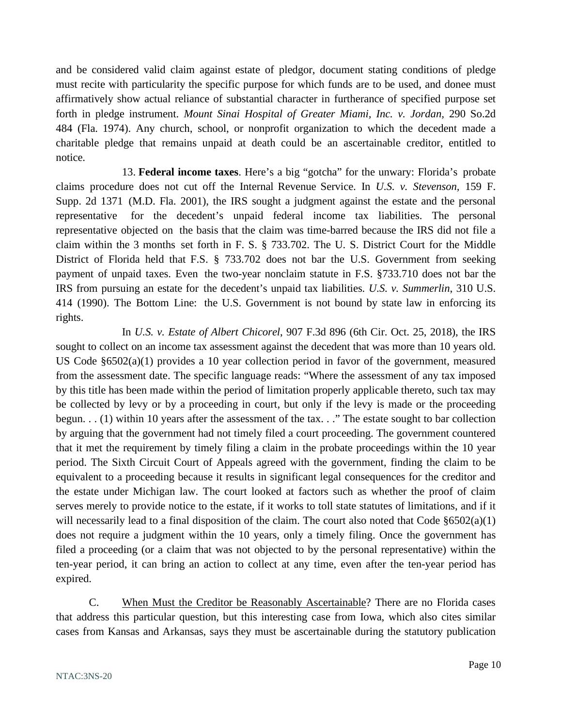and be considered valid claim against estate of pledgor, document stating conditions of pledge must recite with particularity the specific purpose for which funds are to be used, and donee must affirmatively show actual reliance of substantial character in furtherance of specified purpose set forth in pledge instrument. *Mount Sinai Hospital of Greater Miami, Inc. v. Jordan,* 290 So.2d 484 (Fla. 1974). Any church, school, or nonprofit organization to which the decedent made a charitable pledge that remains unpaid at death could be an ascertainable creditor, entitled to notice.

13. **Federal income taxes**. Here's a big "gotcha" for the unwary: Florida's probate claims procedure does not cut off the Internal Revenue Service. In *U.S. v. Stevenson,* 159 F. Supp. 2d 1371 (M.D. Fla. 2001), the IRS sought a judgment against the estate and the personal representative for the decedent's unpaid federal income tax liabilities. The personal representative objected on the basis that the claim was time-barred because the IRS did not file a claim within the 3 months set forth in F. S. § 733.702. The U. S. District Court for the Middle District of Florida held that F.S. § 733.702 does not bar the U.S. Government from seeking payment of unpaid taxes. Even the two-year nonclaim statute in F.S. §733.710 does not bar the IRS from pursuing an estate for the decedent's unpaid tax liabilities. *U.S. v. Summerlin*, 310 U.S. 414 (1990). The Bottom Line: the U.S. Government is not bound by state law in enforcing its rights.

In *U.S. v. Estate of Albert Chicorel*, 907 F.3d 896 (6th Cir. Oct. 25, 2018), the IRS sought to collect on an income tax assessment against the decedent that was more than 10 years old. US Code §6502(a)(1) provides a 10 year collection period in favor of the government, measured from the assessment date. The specific language reads: "Where the assessment of any tax imposed by this title has been made within the period of limitation properly applicable thereto, such tax may be collected by levy or by a proceeding in court, but only if the levy is made or the proceeding begun. . . (1) within 10 years after the assessment of the tax. . ." The estate sought to bar collection by arguing that the government had not timely filed a court proceeding. The government countered that it met the requirement by timely filing a claim in the probate proceedings within the 10 year period. The Sixth Circuit Court of Appeals agreed with the government, finding the claim to be equivalent to a proceeding because it results in significant legal consequences for the creditor and the estate under Michigan law. The court looked at factors such as whether the proof of claim serves merely to provide notice to the estate, if it works to toll state statutes of limitations, and if it will necessarily lead to a final disposition of the claim. The court also noted that Code  $\S 6502(a)(1)$ does not require a judgment within the 10 years, only a timely filing. Once the government has filed a proceeding (or a claim that was not objected to by the personal representative) within the ten-year period, it can bring an action to collect at any time, even after the ten-year period has expired.

C. When Must the Creditor be Reasonably Ascertainable? There are no Florida cases that address this particular question, but this interesting case from Iowa, which also cites similar cases from Kansas and Arkansas, says they must be ascertainable during the statutory publication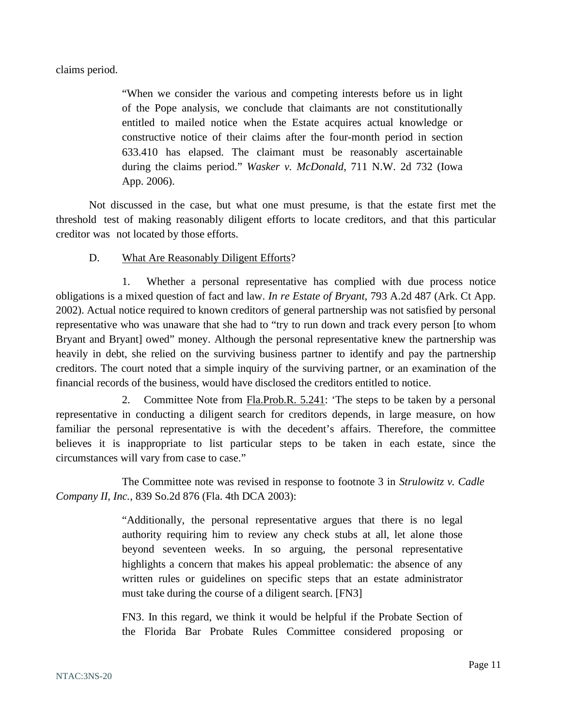claims period.

"When we consider the various and competing interests before us in light of the Pope analysis, we conclude that claimants are not constitutionally entitled to mailed notice when the Estate acquires actual knowledge or constructive notice of their claims after the four-month period in section 633.410 has elapsed. The claimant must be reasonably ascertainable during the claims period." *Wasker v. McDonald*, 711 N.W. 2d 732 (Iowa App. 2006).

Not discussed in the case, but what one must presume, is that the estate first met the threshold test of making reasonably diligent efforts to locate creditors, and that this particular creditor was not located by those efforts.

# D. What Are Reasonably Diligent Efforts?

1. Whether a personal representative has complied with due process notice obligations is a mixed question of fact and law. *In re Estate of Bryant,* 793 A.2d 487 (Ark. Ct App. 2002). Actual notice required to known creditors of general partnership was not satisfied by personal representative who was unaware that she had to "try to run down and track every person [to whom Bryant and Bryant] owed" money. Although the personal representative knew the partnership was heavily in debt, she relied on the surviving business partner to identify and pay the partnership creditors. The court noted that a simple inquiry of the surviving partner, or an examination of the financial records of the business, would have disclosed the creditors entitled to notice.

2. Committee Note from Fla.Prob.R. 5.241: 'The steps to be taken by a personal representative in conducting a diligent search for creditors depends, in large measure, on how familiar the personal representative is with the decedent's affairs. Therefore, the committee believes it is inappropriate to list particular steps to be taken in each estate, since the circumstances will vary from case to case."

The Committee note was revised in response to footnote 3 in *Strulowitz v. Cadle Company II, Inc.*, 839 So.2d 876 (Fla. 4th DCA 2003):

> "Additionally, the personal representative argues that there is no legal authority requiring him to review any check stubs at all, let alone those beyond seventeen weeks. In so arguing, the personal representative highlights a concern that makes his appeal problematic: the absence of any written rules or guidelines on specific steps that an estate administrator must take during the course of a diligent search. [FN3]

> FN3. In this regard, we think it would be helpful if the Probate Section of the Florida Bar Probate Rules Committee considered proposing or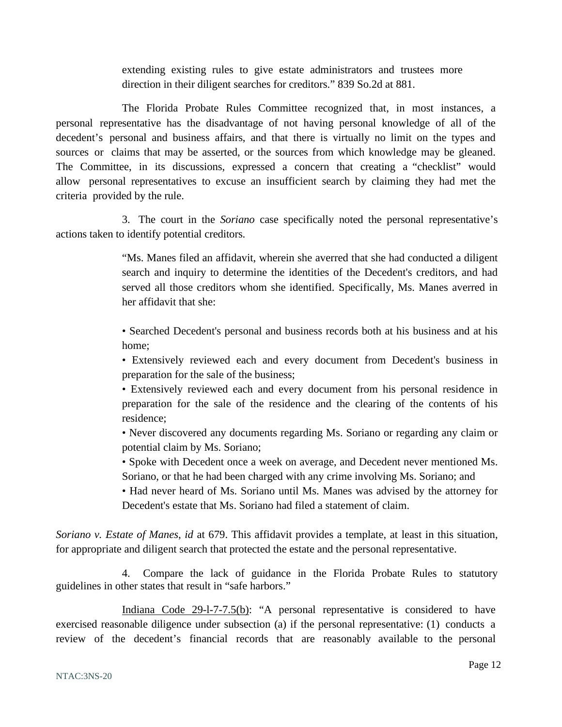extending existing rules to give estate administrators and trustees more direction in their diligent searches for creditors." 839 So.2d at 881.

The Florida Probate Rules Committee recognized that, in most instances, a personal representative has the disadvantage of not having personal knowledge of all of the decedent's personal and business affairs, and that there is virtually no limit on the types and sources or claims that may be asserted, or the sources from which knowledge may be gleaned. The Committee, in its discussions, expressed a concern that creating a "checklist" would allow personal representatives to excuse an insufficient search by claiming they had met the criteria provided by the rule.

3. The court in the *Soriano* case specifically noted the personal representative's actions taken to identify potential creditors.

> "Ms. Manes filed an affidavit, wherein she averred that she had conducted a diligent search and inquiry to determine the identities of the Decedent's creditors, and had served all those creditors whom she identified. Specifically, Ms. Manes averred in her affidavit that she:

> • Searched Decedent's personal and business records both at his business and at his home;

> • Extensively reviewed each and every document from Decedent's business in preparation for the sale of the business;

> • Extensively reviewed each and every document from his personal residence in preparation for the sale of the residence and the clearing of the contents of his residence;

> • Never discovered any documents regarding Ms. Soriano or regarding any claim or potential claim by Ms. Soriano;

> • Spoke with Decedent once a week on average, and Decedent never mentioned Ms. Soriano, or that he had been charged with any crime involving Ms. Soriano; and

> • Had never heard of Ms. Soriano until Ms. Manes was advised by the attorney for Decedent's estate that Ms. Soriano had filed a statement of claim.

*Soriano v. Estate of Manes*, *id* at 679. This affidavit provides a template, at least in this situation, for appropriate and diligent search that protected the estate and the personal representative.

4. Compare the lack of guidance in the Florida Probate Rules to statutory guidelines in other states that result in "safe harbors."

Indiana Code 29-1-7-7.5(b): "A personal representative is considered to have exercised reasonable diligence under subsection (a) if the personal representative: (1) conducts a review of the decedent's financial records that are reasonably available to the personal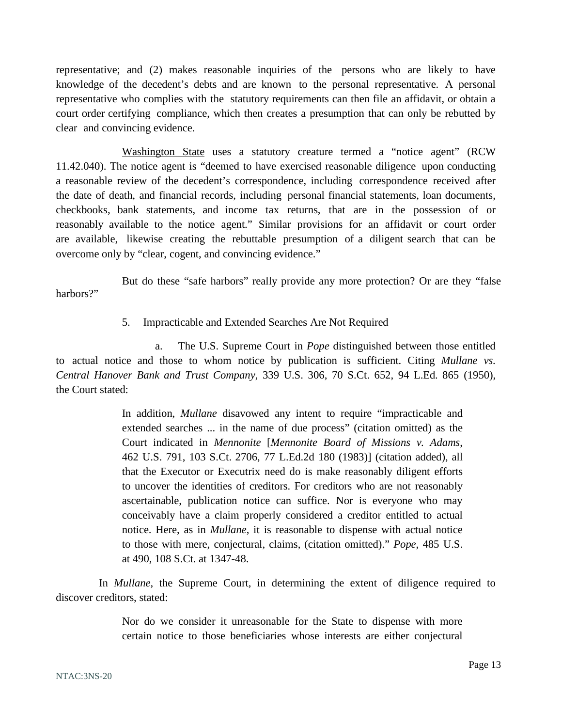representative; and (2) makes reasonable inquiries of the persons who are likely to have knowledge of the decedent's debts and are known to the personal representative. A personal representative who complies with the statutory requirements can then file an affidavit, or obtain a court order certifying compliance, which then creates a presumption that can only be rebutted by clear and convincing evidence.

Washington State uses a statutory creature termed a "notice agent" (RCW 11.42.040). The notice agent is "deemed to have exercised reasonable diligence upon conducting a reasonable review of the decedent's correspondence, including correspondence received after the date of death, and financial records, including personal financial statements, loan documents, checkbooks, bank statements, and income tax returns, that are in the possession of or reasonably available to the notice agent." Similar provisions for an affidavit or court order are available, likewise creating the rebuttable presumption of a diligent search that can be overcome only by "clear, cogent, and convincing evidence."

But do these "safe harbors" really provide any more protection? Or are they "false harbors?"

5. Impracticable and Extended Searches Are Not Required

a. The U.S. Supreme Court in *Pope* distinguished between those entitled to actual notice and those to whom notice by publication is sufficient. Citing *Mullane vs. Central Hanover Bank and Trust Company*, 339 U.S. 306, 70 S.Ct. 652, 94 L.Ed. 865 (1950), the Court stated:

> In addition, *Mullane* disavowed any intent to require "impracticable and extended searches ... in the name of due process" (citation omitted) as the Court indicated in *Mennonite* [*Mennonite Board of Missions v. Adams*, 462 U.S. 791, 103 S.Ct. 2706, 77 L.Ed.2d 180 (1983)] (citation added), all that the Executor or Executrix need do is make reasonably diligent efforts to uncover the identities of creditors. For creditors who are not reasonably ascertainable, publication notice can suffice. Nor is everyone who may conceivably have a claim properly considered a creditor entitled to actual notice. Here, as in *Mullane*, it is reasonable to dispense with actual notice to those with mere, conjectural, claims, (citation omitted)." *Pope*, 485 U.S. at 490, 108 S.Ct. at 1347-48.

In *Mullane*, the Supreme Court, in determining the extent of diligence required to discover creditors, stated:

> Nor do we consider it unreasonable for the State to dispense with more certain notice to those beneficiaries whose interests are either conjectural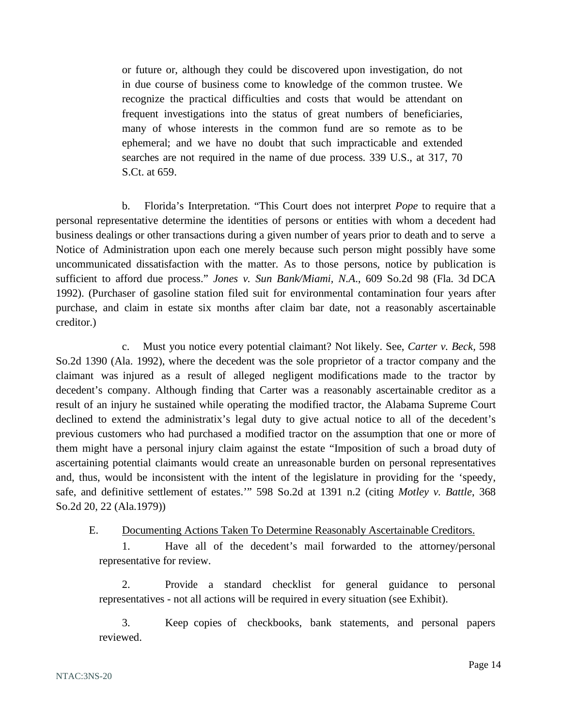or future or, although they could be discovered upon investigation, do not in due course of business come to knowledge of the common trustee. We recognize the practical difficulties and costs that would be attendant on frequent investigations into the status of great numbers of beneficiaries, many of whose interests in the common fund are so remote as to be ephemeral; and we have no doubt that such impracticable and extended searches are not required in the name of due process. 339 U.S., at 317, 70 S.Ct. at 659.

b. Florida's Interpretation. "This Court does not interpret *Pope* to require that a personal representative determine the identities of persons or entities with whom a decedent had business dealings or other transactions during a given number of years prior to death and to serve a Notice of Administration upon each one merely because such person might possibly have some uncommunicated dissatisfaction with the matter. As to those persons, notice by publication is sufficient to afford due process." *Jones v. Sun Bank/Miami, N.A*., 609 So.2d 98 (Fla. 3d DCA 1992). (Purchaser of gasoline station filed suit for environmental contamination four years after purchase, and claim in estate six months after claim bar date, not a reasonably ascertainable creditor.)

c. Must you notice every potential claimant? Not likely. See, *Carter v. Beck,* 598 So.2d 1390 (Ala. 1992), where the decedent was the sole proprietor of a tractor company and the claimant was injured as a result of alleged negligent modifications made to the tractor by decedent's company. Although finding that Carter was a reasonably ascertainable creditor as a result of an injury he sustained while operating the modified tractor, the Alabama Supreme Court declined to extend the administratix's legal duty to give actual notice to all of the decedent's previous customers who had purchased a modified tractor on the assumption that one or more of them might have a personal injury claim against the estate "Imposition of such a broad duty of ascertaining potential claimants would create an unreasonable burden on personal representatives and, thus, would be inconsistent with the intent of the legislature in providing for the 'speedy, safe, and definitive settlement of estates.'" 598 So.2d at 1391 n.2 (citing *Motley v. Battle*, 368 So.2d 20, 22 (Ala.1979))

E. Documenting Actions Taken To Determine Reasonably Ascertainable Creditors.

1. Have all of the decedent's mail forwarded to the attorney/personal representative for review.

2. Provide a standard checklist for general guidance to personal representatives - not all actions will be required in every situation (see Exhibit).

3. Keep copies of checkbooks, bank statements, and personal papers reviewed.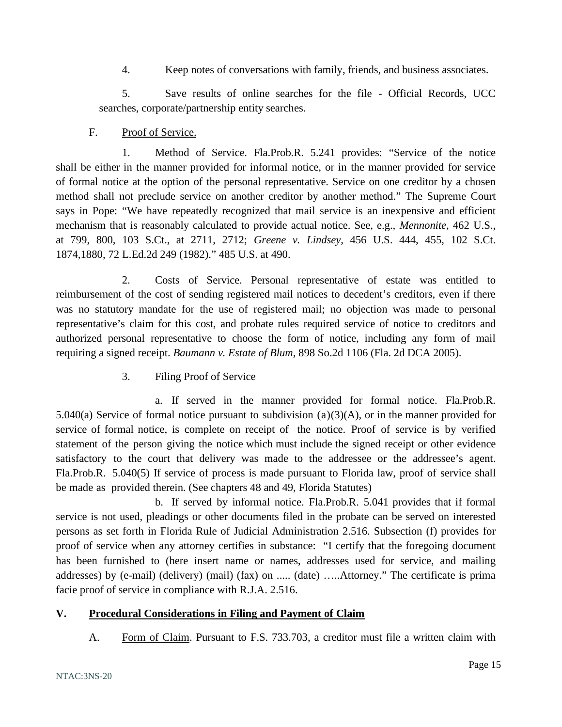4. Keep notes of conversations with family, friends, and business associates.

5. Save results of online searches for the file - Official Records, UCC searches, corporate/partnership entity searches.

## F. Proof of Service.

1. Method of Service. Fla.Prob.R. 5.241 provides: "Service of the notice shall be either in the manner provided for informal notice, or in the manner provided for service of formal notice at the option of the personal representative. Service on one creditor by a chosen method shall not preclude service on another creditor by another method." The Supreme Court says in Pope: "We have repeatedly recognized that mail service is an inexpensive and efficient mechanism that is reasonably calculated to provide actual notice. See, e.g., *Mennonite*, 462 U.S., at 799, 800, 103 S.Ct., at 2711, 2712; *Greene v. Lindsey*, 456 U.S. 444, 455, 102 S.Ct. 1874,1880, 72 L.Ed.2d 249 (1982)." 485 U.S. at 490.

2. Costs of Service. Personal representative of estate was entitled to reimbursement of the cost of sending registered mail notices to decedent's creditors, even if there was no statutory mandate for the use of registered mail; no objection was made to personal representative's claim for this cost, and probate rules required service of notice to creditors and authorized personal representative to choose the form of notice, including any form of mail requiring a signed receipt. *Baumann v. Estate of Blum*, 898 So.2d 1106 (Fla. 2d DCA 2005).

3. Filing Proof of Service

a. If served in the manner provided for formal notice. Fla.Prob.R. 5.040(a) Service of formal notice pursuant to subdivision  $(a)(3)(A)$ , or in the manner provided for service of formal notice, is complete on receipt of the notice. Proof of service is by verified statement of the person giving the notice which must include the signed receipt or other evidence satisfactory to the court that delivery was made to the addressee or the addressee's agent. Fla.Prob.R. 5.040(5) If service of process is made pursuant to Florida law, proof of service shall be made as provided therein. (See chapters 48 and 49, Florida Statutes)

b. If served by informal notice. Fla.Prob.R. 5.041 provides that if formal service is not used, pleadings or other documents filed in the probate can be served on interested persons as set forth in Florida Rule of Judicial Administration 2.516. Subsection (f) provides for proof of service when any attorney certifies in substance: "I certify that the foregoing document has been furnished to (here insert name or names, addresses used for service, and mailing addresses) by (e-mail) (delivery) (mail) (fax) on ..... (date) …..Attorney." The certificate is prima facie proof of service in compliance with R.J.A. 2.516.

## **V. Procedural Considerations in Filing and Payment of Claim**

A. Form of Claim. Pursuant to F.S. 733.703, a creditor must file a written claim with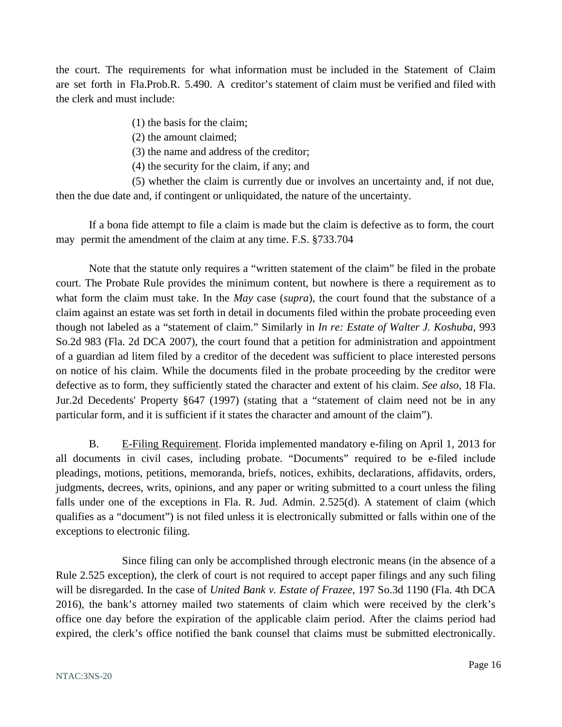the court. The requirements for what information must be included in the Statement of Claim are set forth in Fla.Prob.R. 5.490. A creditor's statement of claim must be verified and filed with the clerk and must include:

(1) the basis for the claim;

(2) the amount claimed;

(3) the name and address of the creditor;

(4) the security for the claim, if any; and

(5) whether the claim is currently due or involves an uncertainty and, if not due, then the due date and, if contingent or unliquidated, the nature of the uncertainty.

If a bona fide attempt to file a claim is made but the claim is defective as to form, the court may permit the amendment of the claim at any time. F.S. §733.704

Note that the statute only requires a "written statement of the claim" be filed in the probate court. The Probate Rule provides the minimum content, but nowhere is there a requirement as to what form the claim must take. In the *May* case (*supra*), the court found that the substance of a claim against an estate was set forth in detail in documents filed within the probate proceeding even though not labeled as a "statement of claim." Similarly in *In re: Estate of Walter J. Koshuba*, 993 So.2d 983 (Fla. 2d DCA 2007), the court found that a petition for administration and appointment of a guardian ad litem filed by a creditor of the decedent was sufficient to place interested persons on notice of his claim. While the documents filed in the probate proceeding by the creditor were defective as to form, they sufficiently stated the character and extent of his claim. *See also*, 18 Fla. Jur.2d Decedents' Property §647 (1997) (stating that a "statement of claim need not be in any particular form, and it is sufficient if it states the character and amount of the claim").

B. E-Filing Requirement. Florida implemented mandatory e-filing on April 1, 2013 for all documents in civil cases, including probate. "Documents" required to be e-filed include pleadings, motions, petitions, memoranda, briefs, notices, exhibits, declarations, affidavits, orders, judgments, decrees, writs, opinions, and any paper or writing submitted to a court unless the filing falls under one of the exceptions in Fla. R. Jud. Admin. 2.525(d). A statement of claim (which qualifies as a "document") is not filed unless it is electronically submitted or falls within one of the exceptions to electronic filing.

Since filing can only be accomplished through electronic means (in the absence of a Rule 2.525 exception), the clerk of court is not required to accept paper filings and any such filing will be disregarded. In the case of *United Bank v. Estate of Frazee*, 197 So.3d 1190 (Fla. 4th DCA 2016), the bank's attorney mailed two statements of claim which were received by the clerk's office one day before the expiration of the applicable claim period. After the claims period had expired, the clerk's office notified the bank counsel that claims must be submitted electronically.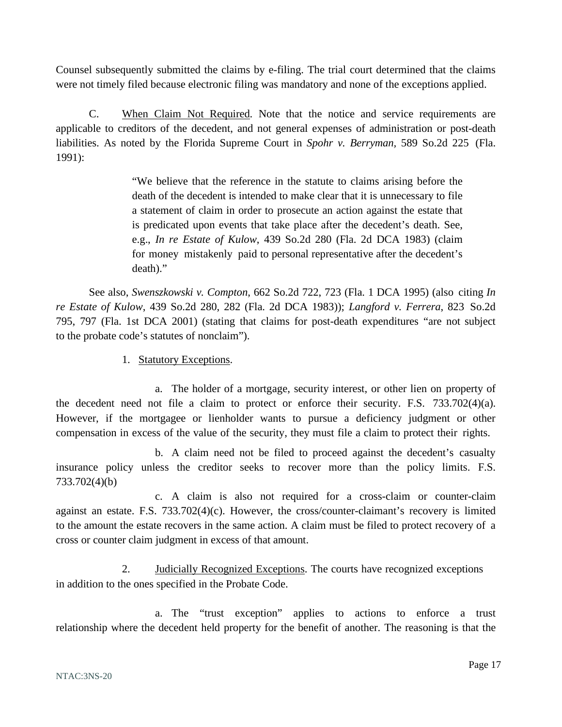Counsel subsequently submitted the claims by e-filing. The trial court determined that the claims were not timely filed because electronic filing was mandatory and none of the exceptions applied.

C. When Claim Not Required. Note that the notice and service requirements are applicable to creditors of the decedent, and not general expenses of administration or post-death liabilities. As noted by the Florida Supreme Court in *Spohr v. Berryman,* 589 So.2d 225 (Fla. 1991):

> "We believe that the reference in the statute to claims arising before the death of the decedent is intended to make clear that it is unnecessary to file a statement of claim in order to prosecute an action against the estate that is predicated upon events that take place after the decedent's death. See, e.g., *In re Estate of Kulow*, 439 So.2d 280 (Fla. 2d DCA 1983) (claim for money mistakenly paid to personal representative after the decedent's death)."

See also, *Swenszkowski v. Compton*, 662 So.2d 722, 723 (Fla. 1 DCA 1995) (also citing *In re Estate of Kulow*, 439 So.2d 280, 282 (Fla. 2d DCA 1983)); *Langford v. Ferrera*, 823 So.2d 795, 797 (Fla. 1st DCA 2001) (stating that claims for post-death expenditures "are not subject to the probate code's statutes of nonclaim").

1. Statutory Exceptions.

a. The holder of a mortgage, security interest, or other lien on property of the decedent need not file a claim to protect or enforce their security. F.S. 733.702(4)(a). However, if the mortgagee or lienholder wants to pursue a deficiency judgment or other compensation in excess of the value of the security, they must file a claim to protect their rights.

b. A claim need not be filed to proceed against the decedent's casualty insurance policy unless the creditor seeks to recover more than the policy limits. F.S. 733.702(4)(b)

c. A claim is also not required for a cross-claim or counter-claim against an estate. F.S.  $733.702(4)(c)$ . However, the cross/counter-claimant's recovery is limited to the amount the estate recovers in the same action. A claim must be filed to protect recovery of a cross or counter claim judgment in excess of that amount.

2. Judicially Recognized Exceptions. The courts have recognized exceptions in addition to the ones specified in the Probate Code.

a. The "trust exception" applies to actions to enforce a trust relationship where the decedent held property for the benefit of another. The reasoning is that the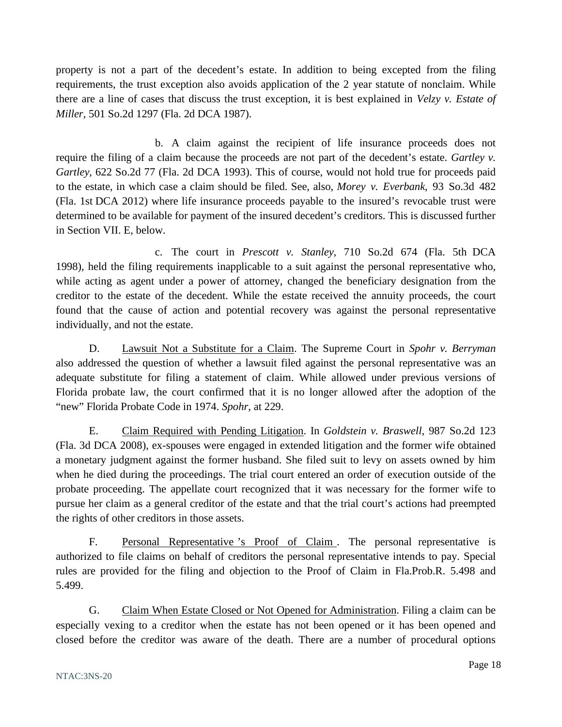property is not a part of the decedent's estate. In addition to being excepted from the filing requirements, the trust exception also avoids application of the 2 year statute of nonclaim. While there are a line of cases that discuss the trust exception, it is best explained in *Velzy v. Estate of Miller*, 501 So.2d 1297 (Fla. 2d DCA 1987).

b. A claim against the recipient of life insurance proceeds does not require the filing of a claim because the proceeds are not part of the decedent's estate. *Gartley v. Gartley*, 622 So.2d 77 (Fla. 2d DCA 1993). This of course, would not hold true for proceeds paid to the estate, in which case a claim should be filed. See, also, *Morey v. Everbank*, 93 So.3d 482 (Fla. 1st DCA 2012) where life insurance proceeds payable to the insured's revocable trust were determined to be available for payment of the insured decedent's creditors. This is discussed further in Section VII. E, below.

c. The court in *Prescott v. Stanley*, 710 So.2d 674 (Fla. 5th DCA 1998), held the filing requirements inapplicable to a suit against the personal representative who, while acting as agent under a power of attorney, changed the beneficiary designation from the creditor to the estate of the decedent. While the estate received the annuity proceeds, the court found that the cause of action and potential recovery was against the personal representative individually, and not the estate.

D. Lawsuit Not a Substitute for a Claim. The Supreme Court in *Spohr v. Berryman* also addressed the question of whether a lawsuit filed against the personal representative was an adequate substitute for filing a statement of claim. While allowed under previous versions of Florida probate law, the court confirmed that it is no longer allowed after the adoption of the "new" Florida Probate Code in 1974. *Spohr*, at 229.

E. Claim Required with Pending Litigation. In *Goldstein v. Braswell*, 987 So.2d 123 (Fla. 3d DCA 2008), ex-spouses were engaged in extended litigation and the former wife obtained a monetary judgment against the former husband. She filed suit to levy on assets owned by him when he died during the proceedings. The trial court entered an order of execution outside of the probate proceeding. The appellate court recognized that it was necessary for the former wife to pursue her claim as a general creditor of the estate and that the trial court's actions had preempted the rights of other creditors in those assets.

F. Personal Representative 's Proof of Claim . The personal representative is authorized to file claims on behalf of creditors the personal representative intends to pay. Special rules are provided for the filing and objection to the Proof of Claim in Fla.Prob.R. 5.498 and 5.499.

G. Claim When Estate Closed or Not Opened for Administration. Filing a claim can be especially vexing to a creditor when the estate has not been opened or it has been opened and closed before the creditor was aware of the death. There are a number of procedural options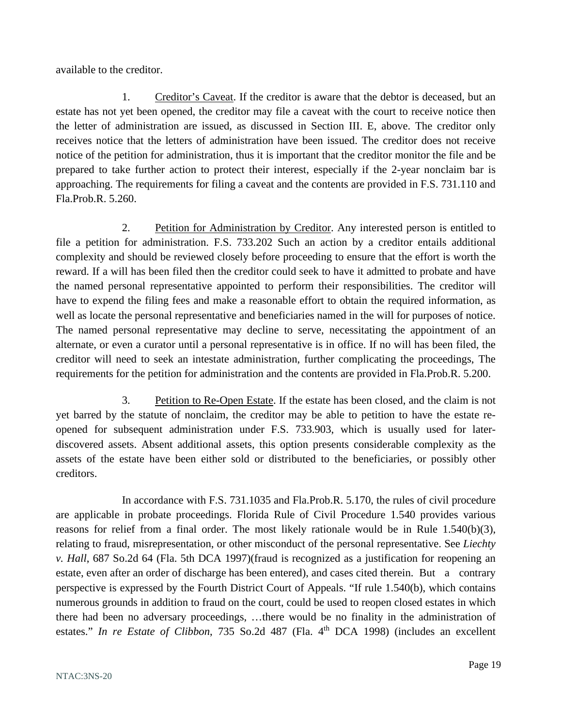available to the creditor.

1. Creditor's Caveat. If the creditor is aware that the debtor is deceased, but an estate has not yet been opened, the creditor may file a caveat with the court to receive notice then the letter of administration are issued, as discussed in Section III. E, above. The creditor only receives notice that the letters of administration have been issued. The creditor does not receive notice of the petition for administration, thus it is important that the creditor monitor the file and be prepared to take further action to protect their interest, especially if the 2-year nonclaim bar is approaching. The requirements for filing a caveat and the contents are provided in F.S. 731.110 and Fla.Prob.R. 5.260.

2. Petition for Administration by Creditor. Any interested person is entitled to file a petition for administration. F.S. 733.202 Such an action by a creditor entails additional complexity and should be reviewed closely before proceeding to ensure that the effort is worth the reward. If a will has been filed then the creditor could seek to have it admitted to probate and have the named personal representative appointed to perform their responsibilities. The creditor will have to expend the filing fees and make a reasonable effort to obtain the required information, as well as locate the personal representative and beneficiaries named in the will for purposes of notice. The named personal representative may decline to serve, necessitating the appointment of an alternate, or even a curator until a personal representative is in office. If no will has been filed, the creditor will need to seek an intestate administration, further complicating the proceedings, The requirements for the petition for administration and the contents are provided in Fla.Prob.R. 5.200.

3. Petition to Re-Open Estate. If the estate has been closed, and the claim is not yet barred by the statute of nonclaim, the creditor may be able to petition to have the estate reopened for subsequent administration under F.S. 733.903, which is usually used for laterdiscovered assets. Absent additional assets, this option presents considerable complexity as the assets of the estate have been either sold or distributed to the beneficiaries, or possibly other creditors.

In accordance with F.S. 731.1035 and Fla.Prob.R. 5.170, the rules of civil procedure are applicable in probate proceedings. Florida Rule of Civil Procedure 1.540 provides various reasons for relief from a final order. The most likely rationale would be in Rule 1.540(b)(3), relating to fraud, misrepresentation, or other misconduct of the personal representative. See *Liechty v. Hall*, 687 So.2d 64 (Fla. 5th DCA 1997)(fraud is recognized as a justification for reopening an estate, even after an order of discharge has been entered), and cases cited therein. But a contrary perspective is expressed by the Fourth District Court of Appeals. "If rule 1.540(b), which contains numerous grounds in addition to fraud on the court, could be used to reopen closed estates in which there had been no adversary proceedings, …there would be no finality in the administration of estates." *In re Estate of Clibbon*, 735 So.2d 487 (Fla. 4<sup>th</sup> DCA 1998) (includes an excellent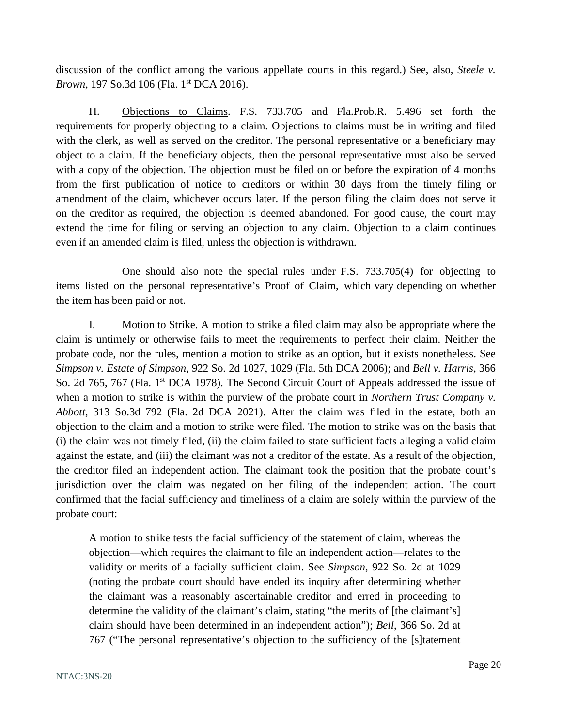discussion of the conflict among the various appellate courts in this regard.) See, also, *Steele v. Brown*, 197 So.3d 106 (Fla. 1<sup>st</sup> DCA 2016).

H. Objections to Claims. F.S. 733.705 and Fla.Prob.R. 5.496 set forth the requirements for properly objecting to a claim. Objections to claims must be in writing and filed with the clerk, as well as served on the creditor. The personal representative or a beneficiary may object to a claim. If the beneficiary objects, then the personal representative must also be served with a copy of the objection. The objection must be filed on or before the expiration of 4 months from the first publication of notice to creditors or within 30 days from the timely filing or amendment of the claim, whichever occurs later. If the person filing the claim does not serve it on the creditor as required, the objection is deemed abandoned. For good cause, the court may extend the time for filing or serving an objection to any claim. Objection to a claim continues even if an amended claim is filed, unless the objection is withdrawn.

One should also note the special rules under F.S. 733.705(4) for objecting to items listed on the personal representative's Proof of Claim, which vary depending on whether the item has been paid or not.

I. Motion to Strike. A motion to strike a filed claim may also be appropriate where the claim is untimely or otherwise fails to meet the requirements to perfect their claim. Neither the probate code, nor the rules, mention a motion to strike as an option, but it exists nonetheless. See *Simpson v. Estate of Simpson*, 922 So. 2d 1027, 1029 (Fla. 5th DCA 2006); and *Bell v. Harris*, 366 So. 2d 765, 767 (Fla. 1<sup>st</sup> DCA 1978). The Second Circuit Court of Appeals addressed the issue of when a motion to strike is within the purview of the probate court in *Northern Trust Company v. Abbott*, 313 So.3d 792 (Fla. 2d DCA 2021). After the claim was filed in the estate, both an objection to the claim and a motion to strike were filed. The motion to strike was on the basis that (i) the claim was not timely filed, (ii) the claim failed to state sufficient facts alleging a valid claim against the estate, and (iii) the claimant was not a creditor of the estate. As a result of the objection, the creditor filed an independent action. The claimant took the position that the probate court's jurisdiction over the claim was negated on her filing of the independent action. The court confirmed that the facial sufficiency and timeliness of a claim are solely within the purview of the probate court:

A motion to strike tests the facial sufficiency of the statement of claim, whereas the objection—which requires the claimant to file an independent action—relates to the validity or merits of a facially sufficient claim. See *Simpson*, 922 So. 2d at 1029 (noting the probate court should have ended its inquiry after determining whether the claimant was a reasonably ascertainable creditor and erred in proceeding to determine the validity of the claimant's claim, stating "the merits of [the claimant's] claim should have been determined in an independent action"); *Bell*, 366 So. 2d at 767 ("The personal representative's objection to the sufficiency of the [s]tatement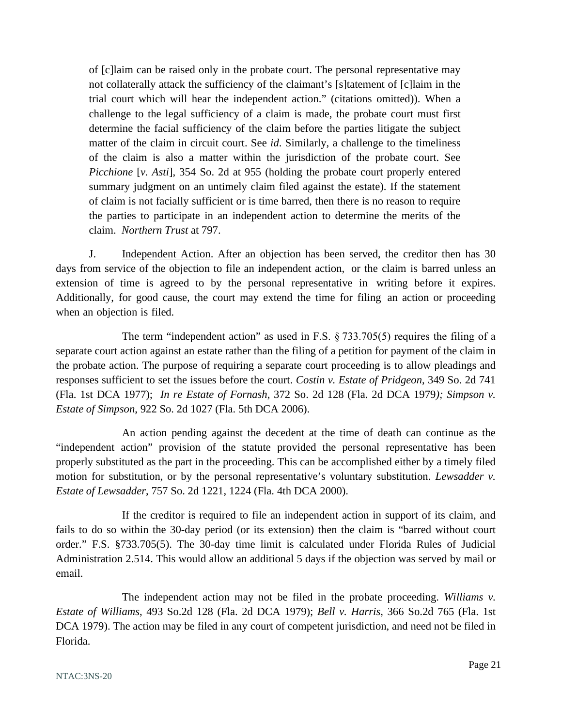of [c]laim can be raised only in the probate court. The personal representative may not collaterally attack the sufficiency of the claimant's [s]tatement of [c]laim in the trial court which will hear the independent action." (citations omitted)). When a challenge to the legal sufficiency of a claim is made, the probate court must first determine the facial sufficiency of the claim before the parties litigate the subject matter of the claim in circuit court. See *id*. Similarly, a challenge to the timeliness of the claim is also a matter within the jurisdiction of the probate court. See *Picchione* [*v. Asti*], 354 So. 2d at 955 (holding the probate court properly entered summary judgment on an untimely claim filed against the estate). If the statement of claim is not facially sufficient or is time barred, then there is no reason to require the parties to participate in an independent action to determine the merits of the claim. *Northern Trust* at 797.

J. Independent Action. After an objection has been served, the creditor then has 30 days from service of the objection to file an independent action, or the claim is barred unless an extension of time is agreed to by the personal representative in writing before it expires. Additionally, for good cause, the court may extend the time for filing an action or proceeding when an objection is filed.

The term "independent action" as used in F.S. § 733.705(5) requires the filing of a separate court action against an estate rather than the filing of a petition for payment of the claim in the probate action. The purpose of requiring a separate court proceeding is to allow pleadings and responses sufficient to set the issues before the court. *Costin v. Estate of Pridgeon*, 349 So. 2d 741 (Fla. 1st DCA 1977); *In re Estate of Fornash*, 372 So. 2d 128 (Fla. 2d DCA 1979*); Simpson v. Estate of Simpson*, 922 So. 2d 1027 (Fla. 5th DCA 2006).

An action pending against the decedent at the time of death can continue as the "independent action" provision of the statute provided the personal representative has been properly substituted as the part in the proceeding. This can be accomplished either by a timely filed motion for substitution, or by the personal representative's voluntary substitution. *Lewsadder v. Estate of Lewsadder*, 757 So. 2d 1221, 1224 (Fla. 4th DCA 2000).

If the creditor is required to file an independent action in support of its claim, and fails to do so within the 30-day period (or its extension) then the claim is "barred without court order." F.S. §733.705(5). The 30-day time limit is calculated under Florida Rules of Judicial Administration 2.514. This would allow an additional 5 days if the objection was served by mail or email.

The independent action may not be filed in the probate proceeding. *Williams v. Estate of Williams*, 493 So.2d 128 (Fla. 2d DCA 1979); *Bell v. Harris*, 366 So.2d 765 (Fla. 1st DCA 1979). The action may be filed in any court of competent jurisdiction, and need not be filed in Florida.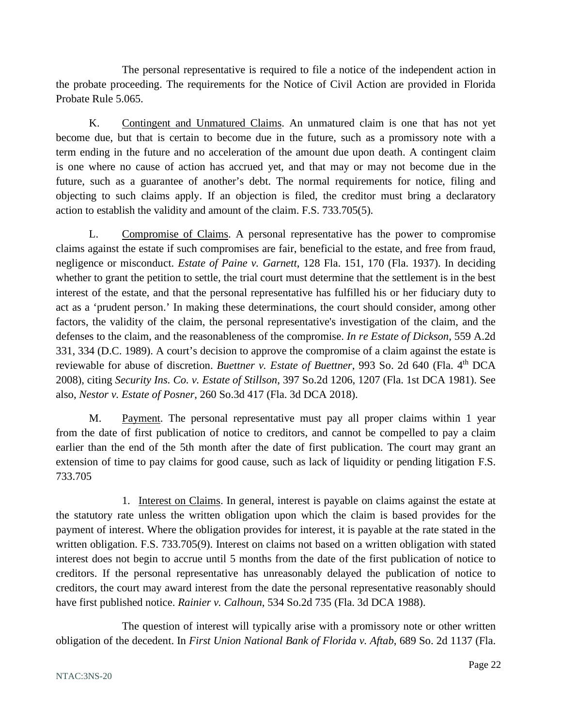The personal representative is required to file a notice of the independent action in the probate proceeding. The requirements for the Notice of Civil Action are provided in Florida Probate Rule 5.065.

K. Contingent and Unmatured Claims. An unmatured claim is one that has not yet become due, but that is certain to become due in the future, such as a promissory note with a term ending in the future and no acceleration of the amount due upon death. A contingent claim is one where no cause of action has accrued yet, and that may or may not become due in the future, such as a guarantee of another's debt. The normal requirements for notice, filing and objecting to such claims apply. If an objection is filed, the creditor must bring a declaratory action to establish the validity and amount of the claim. F.S. 733.705(5).

L. Compromise of Claims. A personal representative has the power to compromise claims against the estate if such compromises are fair, beneficial to the estate, and free from fraud, negligence or misconduct. *Estate of Paine v. Garnett*, 128 Fla. 151, 170 (Fla. 1937). In deciding whether to grant the petition to settle, the trial court must determine that the settlement is in the best interest of the estate, and that the personal representative has fulfilled his or her fiduciary duty to act as a 'prudent person.' In making these determinations, the court should consider, among other factors, the validity of the claim, the personal representative's investigation of the claim, and the defenses to the claim, and the reasonableness of the compromise. *In re Estate of Dickson*, 559 A.2d 331, 334 (D.C. 1989). A court's decision to approve the compromise of a claim against the estate is reviewable for abuse of discretion. *Buettner v. Estate of Buettner*, 993 So. 2d 640 (Fla. 4<sup>th</sup> DCA 2008), citing *Security Ins. Co. v. Estate of Stillson*, 397 So.2d 1206, 1207 (Fla. 1st DCA 1981). See also, *Nestor v. Estate of Posner*, 260 So.3d 417 (Fla. 3d DCA 2018).

M. Payment. The personal representative must pay all proper claims within 1 year from the date of first publication of notice to creditors, and cannot be compelled to pay a claim earlier than the end of the 5th month after the date of first publication. The court may grant an extension of time to pay claims for good cause, such as lack of liquidity or pending litigation F.S. 733.705

1. Interest on Claims. In general, interest is payable on claims against the estate at the statutory rate unless the written obligation upon which the claim is based provides for the payment of interest. Where the obligation provides for interest, it is payable at the rate stated in the written obligation. F.S. 733.705(9). Interest on claims not based on a written obligation with stated interest does not begin to accrue until 5 months from the date of the first publication of notice to creditors. If the personal representative has unreasonably delayed the publication of notice to creditors, the court may award interest from the date the personal representative reasonably should have first published notice. *Rainier v. Calhoun*, 534 So.2d 735 (Fla. 3d DCA 1988).

The question of interest will typically arise with a promissory note or other written obligation of the decedent. In *First Union National Bank of Florida v. Aftab*, 689 So. 2d 1137 (Fla.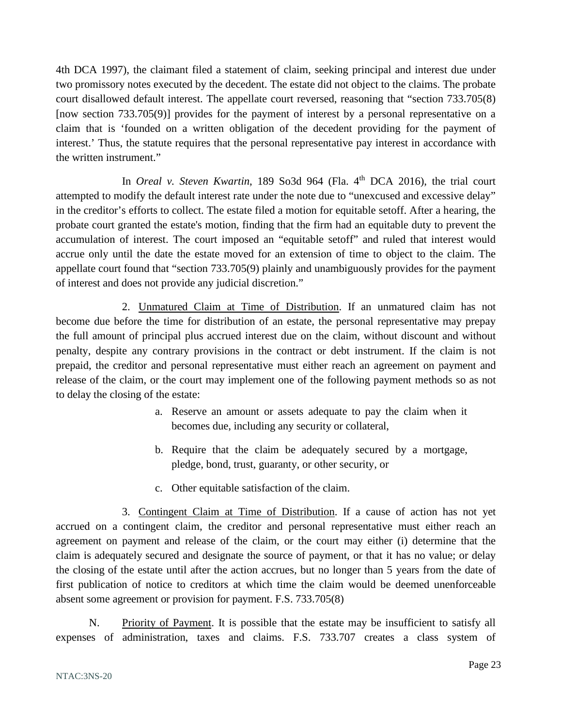4th DCA 1997), the claimant filed a statement of claim, seeking principal and interest due under two promissory notes executed by the decedent. The estate did not object to the claims. The probate court disallowed default interest. The appellate court reversed, reasoning that "section 733.705(8) [now section 733.705(9)] provides for the payment of interest by a personal representative on a claim that is 'founded on a written obligation of the decedent providing for the payment of interest.' Thus, the statute requires that the personal representative pay interest in accordance with the written instrument."

In *Oreal v. Steven Kwartin*, 189 So3d 964 (Fla. 4<sup>th</sup> DCA 2016), the trial court attempted to modify the default interest rate under the note due to "unexcused and excessive delay" in the creditor's efforts to collect. The estate filed a motion for equitable setoff. After a hearing, the probate court granted the estate's motion, finding that the firm had an equitable duty to prevent the accumulation of interest. The court imposed an "equitable setoff" and ruled that interest would accrue only until the date the estate moved for an extension of time to object to the claim. The appellate court found that "section 733.705(9) plainly and unambiguously provides for the payment of interest and does not provide any judicial discretion."

2. Unmatured Claim at Time of Distribution. If an unmatured claim has not become due before the time for distribution of an estate, the personal representative may prepay the full amount of principal plus accrued interest due on the claim, without discount and without penalty, despite any contrary provisions in the contract or debt instrument. If the claim is not prepaid, the creditor and personal representative must either reach an agreement on payment and release of the claim, or the court may implement one of the following payment methods so as not to delay the closing of the estate:

- a. Reserve an amount or assets adequate to pay the claim when it becomes due, including any security or collateral,
- b. Require that the claim be adequately secured by a mortgage, pledge, bond, trust, guaranty, or other security, or
- c. Other equitable satisfaction of the claim.

3. Contingent Claim at Time of Distribution. If a cause of action has not yet accrued on a contingent claim, the creditor and personal representative must either reach an agreement on payment and release of the claim, or the court may either (i) determine that the claim is adequately secured and designate the source of payment, or that it has no value; or delay the closing of the estate until after the action accrues, but no longer than 5 years from the date of first publication of notice to creditors at which time the claim would be deemed unenforceable absent some agreement or provision for payment. F.S. 733.705(8)

N. Priority of Payment. It is possible that the estate may be insufficient to satisfy all expenses of administration, taxes and claims. F.S. 733.707 creates a class system of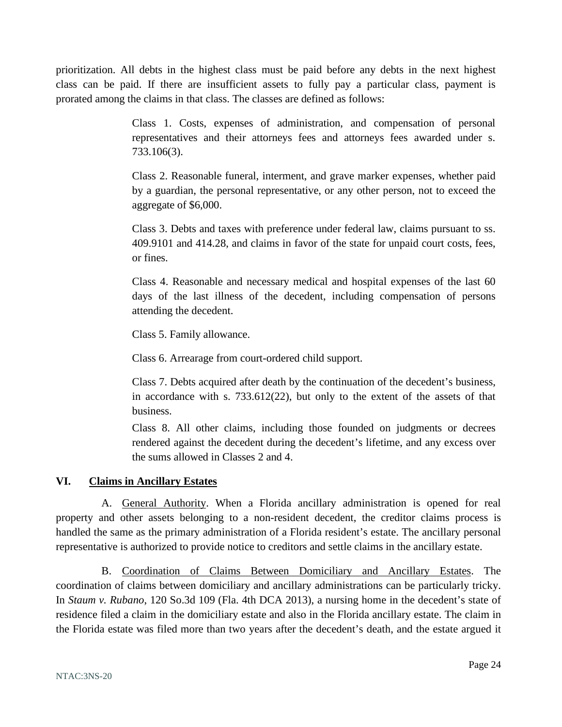prioritization. All debts in the highest class must be paid before any debts in the next highest class can be paid. If there are insufficient assets to fully pay a particular class, payment is prorated among the claims in that class. The classes are defined as follows:

> Class 1. Costs, expenses of administration, and compensation of personal representatives and their attorneys fees and attorneys fees awarded under s. 733.106(3).

> Class 2. Reasonable funeral, interment, and grave marker expenses, whether paid by a guardian, the personal representative, or any other person, not to exceed the aggregate of \$6,000.

> Class 3. Debts and taxes with preference under federal law, claims pursuant to ss. 409.9101 and 414.28, and claims in favor of the state for unpaid court costs, fees, or fines.

> Class 4. Reasonable and necessary medical and hospital expenses of the last 60 days of the last illness of the decedent, including compensation of persons attending the decedent.

Class 5. Family allowance.

Class 6. Arrearage from court-ordered child support.

Class 7. Debts acquired after death by the continuation of the decedent's business, in accordance with s. 733.612(22), but only to the extent of the assets of that business.

Class 8. All other claims, including those founded on judgments or decrees rendered against the decedent during the decedent's lifetime, and any excess over the sums allowed in Classes 2 and 4.

# **VI. Claims in Ancillary Estates**

A. General Authority. When a Florida ancillary administration is opened for real property and other assets belonging to a non-resident decedent, the creditor claims process is handled the same as the primary administration of a Florida resident's estate. The ancillary personal representative is authorized to provide notice to creditors and settle claims in the ancillary estate.

B. Coordination of Claims Between Domiciliary and Ancillary Estates. The coordination of claims between domiciliary and ancillary administrations can be particularly tricky. In *Staum v. Rubano*, 120 So.3d 109 (Fla. 4th DCA 2013), a nursing home in the decedent's state of residence filed a claim in the domiciliary estate and also in the Florida ancillary estate. The claim in the Florida estate was filed more than two years after the decedent's death, and the estate argued it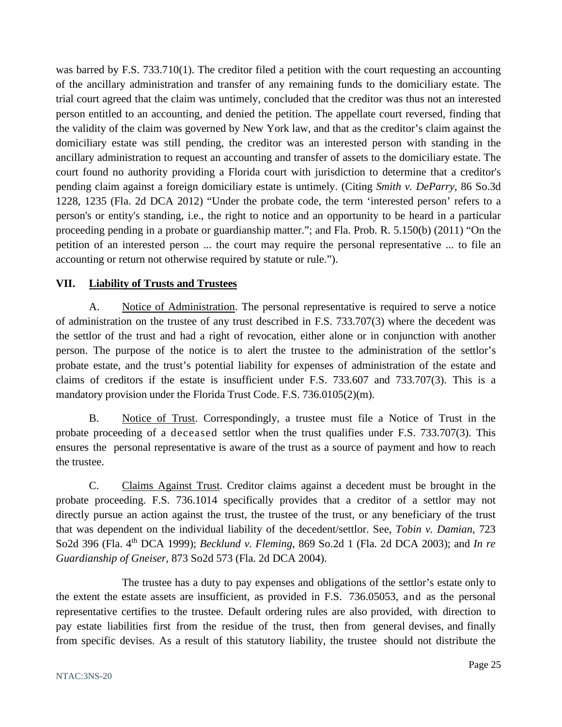was barred by F.S. 733.710(1). The creditor filed a petition with the court requesting an accounting of the ancillary administration and transfer of any remaining funds to the domiciliary estate. The trial court agreed that the claim was untimely, concluded that the creditor was thus not an interested person entitled to an accounting, and denied the petition. The appellate court reversed, finding that the validity of the claim was governed by New York law, and that as the creditor's claim against the domiciliary estate was still pending, the creditor was an interested person with standing in the ancillary administration to request an accounting and transfer of assets to the domiciliary estate. The court found no authority providing a Florida court with jurisdiction to determine that a creditor's pending claim against a foreign domiciliary estate is untimely. (Citing *Smith v. DeParry*, 86 So.3d 1228, 1235 (Fla. 2d DCA 2012) "Under the probate code, the term 'interested person' refers to a person's or entity's standing, i.e., the right to notice and an opportunity to be heard in a particular proceeding pending in a probate or guardianship matter."; and Fla. Prob. R. 5.150(b) (2011) "On the petition of an interested person ... the court may require the personal representative ... to file an accounting or return not otherwise required by statute or rule.").

# **VII. Liability of Trusts and Trustees**

A. Notice of Administration. The personal representative is required to serve a notice of administration on the trustee of any trust described in F.S. 733.707(3) where the decedent was the settlor of the trust and had a right of revocation, either alone or in conjunction with another person. The purpose of the notice is to alert the trustee to the administration of the settlor's probate estate, and the trust's potential liability for expenses of administration of the estate and claims of creditors if the estate is insufficient under F.S. 733.607 and 733.707(3). This is a mandatory provision under the Florida Trust Code. F.S. 736.0105(2)(m).

B. Notice of Trust. Correspondingly, a trustee must file a Notice of Trust in the probate proceeding of a deceased settlor when the trust qualifies under F.S. 733.707(3). This ensures the personal representative is aware of the trust as a source of payment and how to reach the trustee.

C. Claims Against Trust. Creditor claims against a decedent must be brought in the probate proceeding. F.S. 736.1014 specifically provides that a creditor of a settlor may not directly pursue an action against the trust, the trustee of the trust, or any beneficiary of the trust that was dependent on the individual liability of the decedent/settlor. See, *Tobin v. Damian*, 723 So2d 396 (Fla. 4th DCA 1999); *Becklund v. Fleming*, 869 So.2d 1 (Fla. 2d DCA 2003); and *In re Guardianship of Gneiser*, 873 So2d 573 (Fla. 2d DCA 2004).

The trustee has a duty to pay expenses and obligations of the settlor's estate only to the extent the estate assets are insufficient, as provided in F.S. 736.05053, and as the personal representative certifies to the trustee. Default ordering rules are also provided, with direction to pay estate liabilities first from the residue of the trust, then from general devises, and finally from specific devises. As a result of this statutory liability, the trustee should not distribute the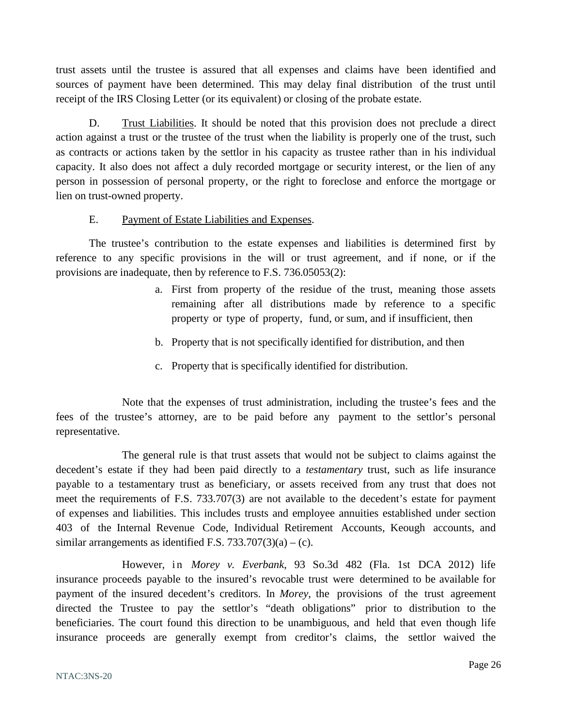trust assets until the trustee is assured that all expenses and claims have been identified and sources of payment have been determined. This may delay final distribution of the trust until receipt of the IRS Closing Letter (or its equivalent) or closing of the probate estate.

D. Trust Liabilities. It should be noted that this provision does not preclude a direct action against a trust or the trustee of the trust when the liability is properly one of the trust, such as contracts or actions taken by the settlor in his capacity as trustee rather than in his individual capacity. It also does not affect a duly recorded mortgage or security interest, or the lien of any person in possession of personal property, or the right to foreclose and enforce the mortgage or lien on trust-owned property.

# E. Payment of Estate Liabilities and Expenses.

The trustee's contribution to the estate expenses and liabilities is determined first by reference to any specific provisions in the will or trust agreement, and if none, or if the provisions are inadequate, then by reference to F.S. 736.05053(2):

- a. First from property of the residue of the trust, meaning those assets remaining after all distributions made by reference to a specific property or type of property, fund, or sum, and if insufficient, then
- b. Property that is not specifically identified for distribution, and then
- c. Property that is specifically identified for distribution.

Note that the expenses of trust administration, including the trustee's fees and the fees of the trustee's attorney, are to be paid before any payment to the settlor's personal representative.

The general rule is that trust assets that would not be subject to claims against the decedent's estate if they had been paid directly to a *testamentary* trust, such as life insurance payable to a testamentary trust as beneficiary, or assets received from any trust that does not meet the requirements of F.S. 733.707(3) are not available to the decedent's estate for payment of expenses and liabilities. This includes trusts and employee annuities established under section 403 of the Internal Revenue Code, Individual Retirement Accounts, Keough accounts, and similar arrangements as identified F.S.  $733.707(3)(a) - (c)$ .

However, in *Morey v. Everbank*, 93 So.3d 482 (Fla. 1st DCA 2012) life insurance proceeds payable to the insured's revocable trust were determined to be available for payment of the insured decedent's creditors. In *Morey*, the provisions of the trust agreement directed the Trustee to pay the settlor's "death obligations" prior to distribution to the beneficiaries. The court found this direction to be unambiguous, and held that even though life insurance proceeds are generally exempt from creditor's claims, the settlor waived the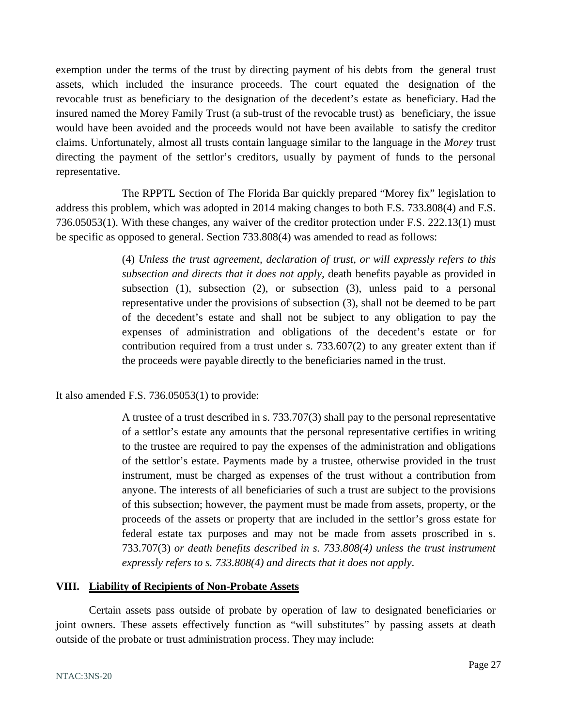exemption under the terms of the trust by directing payment of his debts from the general trust assets, which included the insurance proceeds. The court equated the designation of the revocable trust as beneficiary to the designation of the decedent's estate as beneficiary. Had the insured named the Morey Family Trust (a sub-trust of the revocable trust) as beneficiary, the issue would have been avoided and the proceeds would not have been available to satisfy the creditor claims. Unfortunately, almost all trusts contain language similar to the language in the *Morey* trust directing the payment of the settlor's creditors, usually by payment of funds to the personal representative.

The RPPTL Section of The Florida Bar quickly prepared "Morey fix" legislation to address this problem, which was adopted in 2014 making changes to both F.S. 733.808(4) and F.S. 736.05053(1). With these changes, any waiver of the creditor protection under F.S. 222.13(1) must be specific as opposed to general. Section 733.808(4) was amended to read as follows:

> (4) *Unless the trust agreement, declaration of trust, or will expressly refers to this subsection and directs that it does not apply,* death benefits payable as provided in subsection (1), subsection (2), or subsection (3), unless paid to a personal representative under the provisions of subsection (3), shall not be deemed to be part of the decedent's estate and shall not be subject to any obligation to pay the expenses of administration and obligations of the decedent's estate or for contribution required from a trust under s. 733.607(2) to any greater extent than if the proceeds were payable directly to the beneficiaries named in the trust.

It also amended F.S. 736.05053(1) to provide:

A trustee of a trust described in s. 733.707(3) shall pay to the personal representative of a settlor's estate any amounts that the personal representative certifies in writing to the trustee are required to pay the expenses of the administration and obligations of the settlor's estate. Payments made by a trustee, otherwise provided in the trust instrument, must be charged as expenses of the trust without a contribution from anyone. The interests of all beneficiaries of such a trust are subject to the provisions of this subsection; however, the payment must be made from assets, property, or the proceeds of the assets or property that are included in the settlor's gross estate for federal estate tax purposes and may not be made from assets proscribed in s. 733.707(3) *or death benefits described in s. 733.808(4) unless the trust instrument expressly refers to s. 733.808(4) and directs that it does not apply*.

# **VIII. Liability of Recipients of Non-Probate Assets**

Certain assets pass outside of probate by operation of law to designated beneficiaries or joint owners. These assets effectively function as "will substitutes" by passing assets at death outside of the probate or trust administration process. They may include: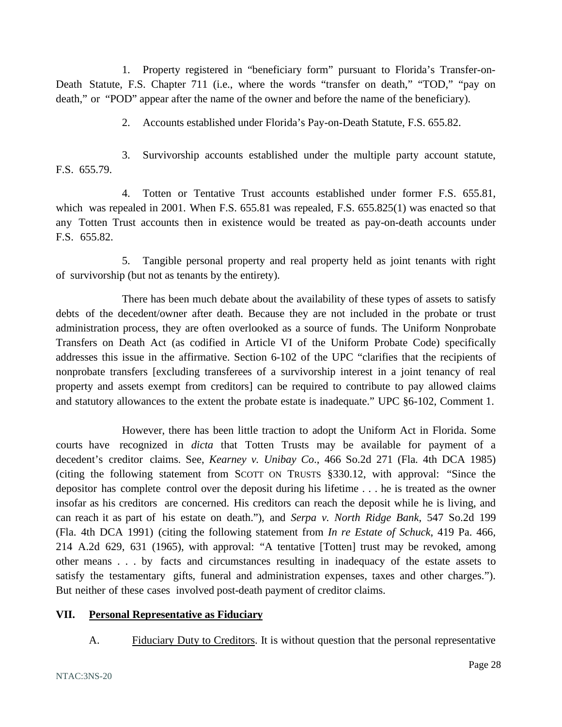1. Property registered in "beneficiary form" pursuant to Florida's Transfer-on-Death Statute, F.S. Chapter 711 (i.e., where the words "transfer on death," "TOD," "pay on death," or "POD" appear after the name of the owner and before the name of the beneficiary).

2. Accounts established under Florida's Pay-on-Death Statute, F.S. 655.82.

3. Survivorship accounts established under the multiple party account statute, F.S. 655.79.

4. Totten or Tentative Trust accounts established under former F.S. 655.81, which was repealed in 2001. When F.S. 655.81 was repealed, F.S. 655.825(1) was enacted so that any Totten Trust accounts then in existence would be treated as pay-on-death accounts under F.S. 655.82.

5. Tangible personal property and real property held as joint tenants with right of survivorship (but not as tenants by the entirety).

There has been much debate about the availability of these types of assets to satisfy debts of the decedent/owner after death. Because they are not included in the probate or trust administration process, they are often overlooked as a source of funds. The Uniform Nonprobate Transfers on Death Act (as codified in Article VI of the Uniform Probate Code) specifically addresses this issue in the affirmative. Section 6-102 of the UPC "clarifies that the recipients of nonprobate transfers [excluding transferees of a survivorship interest in a joint tenancy of real property and assets exempt from creditors] can be required to contribute to pay allowed claims and statutory allowances to the extent the probate estate is inadequate." UPC §6-102, Comment 1.

However, there has been little traction to adopt the Uniform Act in Florida. Some courts have recognized in *dicta* that Totten Trusts may be available for payment of a decedent's creditor claims. See, *Kearney v. Unibay Co*., 466 So.2d 271 (Fla. 4th DCA 1985) (citing the following statement from SCOTT ON TRUSTS §330.12, with approval: "Since the depositor has complete control over the deposit during his lifetime . . . he is treated as the owner insofar as his creditors are concerned. His creditors can reach the deposit while he is living, and can reach it as part of his estate on death."), and *Serpa v. North Ridge Bank*, 547 So.2d 199 (Fla. 4th DCA 1991) (citing the following statement from *In re Estate of Schuck*, 419 Pa. 466, 214 A.2d 629, 631 (1965), with approval: "A tentative [Totten] trust may be revoked, among other means . . . by facts and circumstances resulting in inadequacy of the estate assets to satisfy the testamentary gifts, funeral and administration expenses, taxes and other charges."). But neither of these cases involved post-death payment of creditor claims.

# **VII. Personal Representative as Fiduciary**

A. Fiduciary Duty to Creditors. It is without question that the personal representative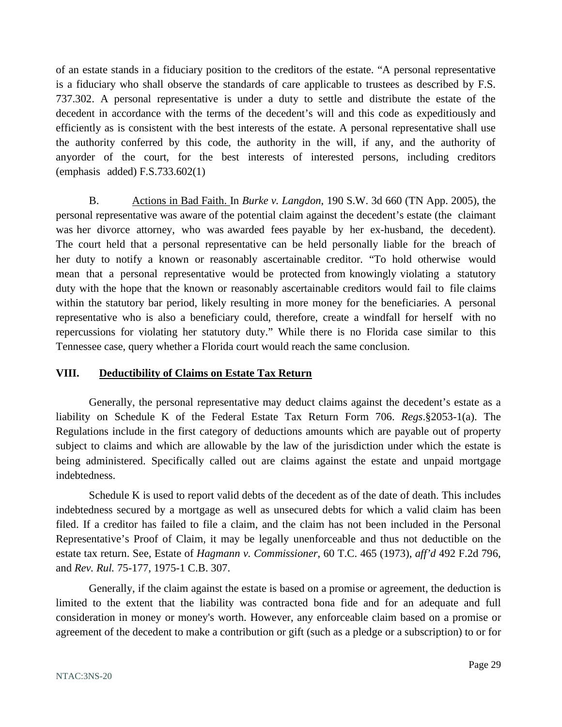of an estate stands in a fiduciary position to the creditors of the estate. "A personal representative is a fiduciary who shall observe the standards of care applicable to trustees as described by F.S. 737.302. A personal representative is under a duty to settle and distribute the estate of the decedent in accordance with the terms of the decedent's will and this code as expeditiously and efficiently as is consistent with the best interests of the estate. A personal representative shall use the authority conferred by this code, the authority in the will, if any, and the authority of anyorder of the court, for the best interests of interested persons, including creditors (emphasis added) F.S.733.602(1)

B. Actions in Bad Faith. In *Burke v. Langdon*, 190 S.W. 3d 660 (TN App. 2005), the personal representative was aware of the potential claim against the decedent's estate (the claimant was her divorce attorney, who was awarded fees payable by her ex-husband, the decedent). The court held that a personal representative can be held personally liable for the breach of her duty to notify a known or reasonably ascertainable creditor. "To hold otherwise would mean that a personal representative would be protected from knowingly violating a statutory duty with the hope that the known or reasonably ascertainable creditors would fail to file claims within the statutory bar period, likely resulting in more money for the beneficiaries. A personal representative who is also a beneficiary could, therefore, create a windfall for herself with no repercussions for violating her statutory duty." While there is no Florida case similar to this Tennessee case, query whether a Florida court would reach the same conclusion.

## **VIII. Deductibility of Claims on Estate Tax Return**

Generally, the personal representative may deduct claims against the decedent's estate as a liability on Schedule K of the Federal Estate Tax Return Form 706. *Regs*.§2053-1(a). The Regulations include in the first category of deductions amounts which are payable out of property subject to claims and which are allowable by the law of the jurisdiction under which the estate is being administered. Specifically called out are claims against the estate and unpaid mortgage indebtedness.

Schedule K is used to report valid debts of the decedent as of the date of death. This includes indebtedness secured by a mortgage as well as unsecured debts for which a valid claim has been filed. If a creditor has failed to file a claim, and the claim has not been included in the Personal Representative's Proof of Claim, it may be legally unenforceable and thus not deductible on the estate tax return. See, Estate of *Hagmann v. Commissioner*, 60 T.C. 465 (1973), *aff'd* 492 F.2d 796, and *Rev. Rul.* 75-177, 1975-1 C.B. 307.

Generally, if the claim against the estate is based on a promise or agreement, the deduction is limited to the extent that the liability was contracted bona fide and for an adequate and full consideration in money or money's worth. However, any enforceable claim based on a promise or agreement of the decedent to make a contribution or gift (such as a pledge or a subscription) to or for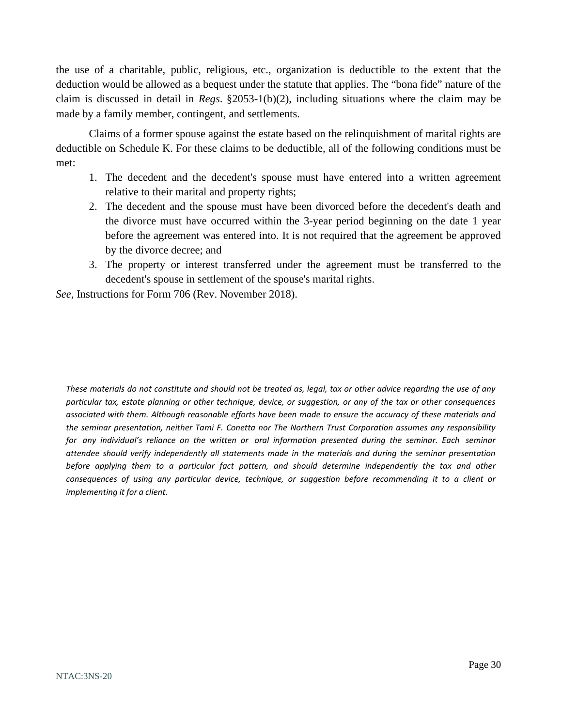the use of a charitable, public, religious, etc., organization is deductible to the extent that the deduction would be allowed as a bequest under the statute that applies. The "bona fide" nature of the claim is discussed in detail in *Regs*. §2053-1(b)(2), including situations where the claim may be made by a family member, contingent, and settlements.

Claims of a former spouse against the estate based on the relinquishment of marital rights are deductible on Schedule K. For these claims to be deductible, all of the following conditions must be met:

- 1. The decedent and the decedent's spouse must have entered into a written agreement relative to their marital and property rights;
- 2. The decedent and the spouse must have been divorced before the decedent's death and the divorce must have occurred within the 3-year period beginning on the date 1 year before the agreement was entered into. It is not required that the agreement be approved by the divorce decree; and
- 3. The property or interest transferred under the agreement must be transferred to the decedent's spouse in settlement of the spouse's marital rights.

*See*, Instructions for Form 706 (Rev. November 2018).

These materials do not constitute and should not be treated as, legal, tax or other advice regarding the use of any particular tax, estate planning or other technique, device, or suggestion, or any of the tax or other consequences associated with them. Although reasonable efforts have been made to ensure the accuracy of these materials and *the seminar presentation, neither Tami F. Conetta nor The Northern Trust Corporation assumes any responsibility for any individual's reliance on the written or oral information presented during the seminar. Each seminar attendee should verify independently all statements made in the materials and during the seminar presentation before applying them to a particular fact pattern, and should determine independently the tax and other consequences of using any particular device, technique, or suggestion before recommending it to a client or implementing it for a client.*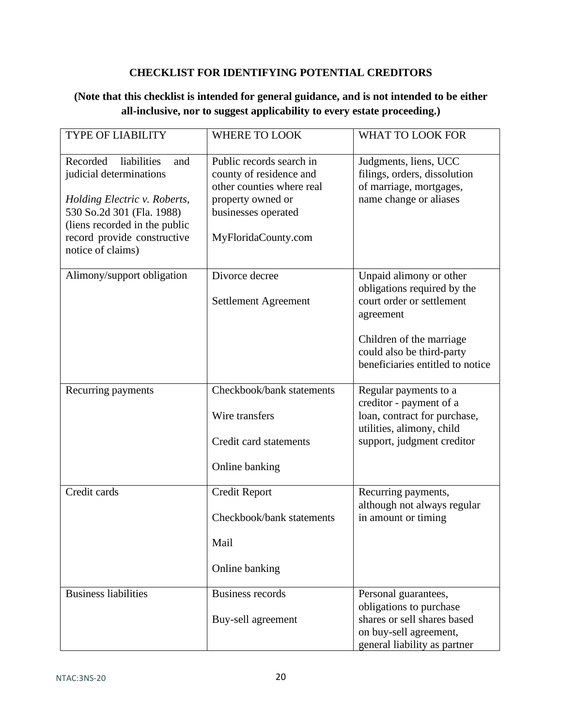# **CHECKLIST FOR IDENTIFYING POTENTIAL CREDITORS**

# **(Note that this checklist is intended for general guidance, and is not intended to be either all-inclusive, nor to suggest applicability to every estate proceeding.)**

| <b>TYPE OF LIABILITY</b>                                                                                                                                                                                    | <b>WHERE TO LOOK</b>                                                                                                                                | WHAT TO LOOK FOR                                                                                                                                                                              |
|-------------------------------------------------------------------------------------------------------------------------------------------------------------------------------------------------------------|-----------------------------------------------------------------------------------------------------------------------------------------------------|-----------------------------------------------------------------------------------------------------------------------------------------------------------------------------------------------|
| liabilities<br>Recorded<br>and<br>judicial determinations<br>Holding Electric v. Roberts,<br>530 So.2d 301 (Fla. 1988)<br>(liens recorded in the public<br>record provide constructive<br>notice of claims) | Public records search in<br>county of residence and<br>other counties where real<br>property owned or<br>businesses operated<br>MyFloridaCounty.com | Judgments, liens, UCC<br>filings, orders, dissolution<br>of marriage, mortgages,<br>name change or aliases                                                                                    |
| Alimony/support obligation                                                                                                                                                                                  | Divorce decree<br>Settlement Agreement                                                                                                              | Unpaid alimony or other<br>obligations required by the<br>court order or settlement<br>agreement<br>Children of the marriage<br>could also be third-party<br>beneficiaries entitled to notice |
| Recurring payments                                                                                                                                                                                          | Checkbook/bank statements<br>Wire transfers<br>Credit card statements<br>Online banking                                                             | Regular payments to a<br>creditor - payment of a<br>loan, contract for purchase,<br>utilities, alimony, child<br>support, judgment creditor                                                   |
| Credit cards                                                                                                                                                                                                | <b>Credit Report</b><br>Checkbook/bank statements<br>Mail<br>Online banking                                                                         | Recurring payments,<br>although not always regular<br>in amount or timing                                                                                                                     |
| <b>Business liabilities</b>                                                                                                                                                                                 | <b>Business records</b><br>Buy-sell agreement                                                                                                       | Personal guarantees,<br>obligations to purchase<br>shares or sell shares based<br>on buy-sell agreement,<br>general liability as partner                                                      |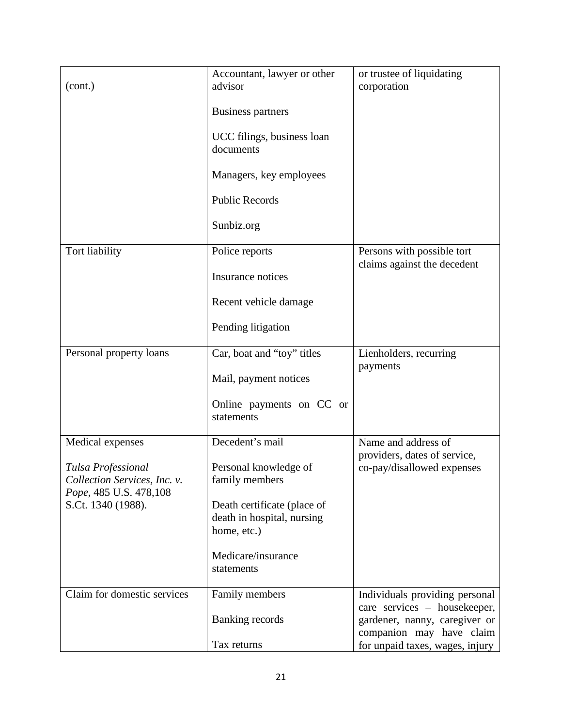| (cont.)                                            | Accountant, lawyer or other<br>advisor                                   | or trustee of liquidating<br>corporation                       |
|----------------------------------------------------|--------------------------------------------------------------------------|----------------------------------------------------------------|
|                                                    | <b>Business partners</b>                                                 |                                                                |
|                                                    | UCC filings, business loan<br>documents                                  |                                                                |
|                                                    | Managers, key employees                                                  |                                                                |
|                                                    | <b>Public Records</b>                                                    |                                                                |
|                                                    | Sunbiz.org                                                               |                                                                |
| Tort liability                                     | Police reports                                                           | Persons with possible tort<br>claims against the decedent      |
|                                                    | Insurance notices                                                        |                                                                |
|                                                    | Recent vehicle damage                                                    |                                                                |
|                                                    | Pending litigation                                                       |                                                                |
| Personal property loans                            | Car, boat and "toy" titles                                               | Lienholders, recurring<br>payments                             |
|                                                    | Mail, payment notices                                                    |                                                                |
|                                                    | Online payments on CC or<br>statements                                   |                                                                |
| Medical expenses                                   | Decedent's mail                                                          | Name and address of                                            |
| Tulsa Professional<br>Collection Services, Inc. v. | Personal knowledge of<br>family members                                  | providers, dates of service,<br>co-pay/disallowed expenses     |
| Pope, 485 U.S. 478,108<br>S.Ct. 1340 (1988).       | Death certificate (place of<br>death in hospital, nursing<br>home, etc.) |                                                                |
|                                                    | Medicare/insurance<br>statements                                         |                                                                |
| Claim for domestic services                        | Family members                                                           | Individuals providing personal<br>care services – housekeeper, |
|                                                    | <b>Banking records</b>                                                   | gardener, nanny, caregiver or<br>companion may have claim      |
|                                                    | Tax returns                                                              | for unpaid taxes, wages, injury                                |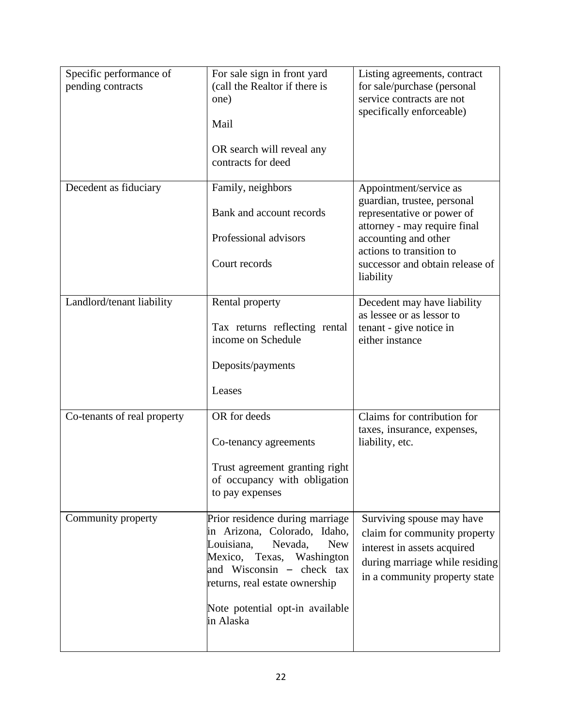| Specific performance of<br>pending contracts | For sale sign in front yard<br>(call the Realtor if there is<br>one)<br>Mail<br>OR search will reveal any<br>contracts for deed                                                                                                                    | Listing agreements, contract<br>for sale/purchase (personal<br>service contracts are not<br>specifically enforceable)                                                                                                   |
|----------------------------------------------|----------------------------------------------------------------------------------------------------------------------------------------------------------------------------------------------------------------------------------------------------|-------------------------------------------------------------------------------------------------------------------------------------------------------------------------------------------------------------------------|
| Decedent as fiduciary                        | Family, neighbors<br>Bank and account records<br>Professional advisors<br>Court records                                                                                                                                                            | Appointment/service as<br>guardian, trustee, personal<br>representative or power of<br>attorney - may require final<br>accounting and other<br>actions to transition to<br>successor and obtain release of<br>liability |
| Landlord/tenant liability                    | Rental property<br>Tax returns reflecting rental<br>income on Schedule<br>Deposits/payments<br>Leases                                                                                                                                              | Decedent may have liability<br>as lessee or as lessor to<br>tenant - give notice in<br>either instance                                                                                                                  |
| Co-tenants of real property                  | OR for deeds<br>Co-tenancy agreements<br>Trust agreement granting right<br>of occupancy with obligation<br>to pay expenses                                                                                                                         | Claims for contribution for<br>taxes, insurance, expenses,<br>liability, etc.                                                                                                                                           |
| Community property                           | Prior residence during marriage<br>in Arizona, Colorado, Idaho,<br>Louisiana,<br>Nevada.<br><b>New</b><br>Mexico, Texas, Washington<br>and Wisconsin - check tax<br>returns, real estate ownership<br>Note potential opt-in available<br>in Alaska | Surviving spouse may have<br>claim for community property<br>interest in assets acquired<br>during marriage while residing<br>in a community property state                                                             |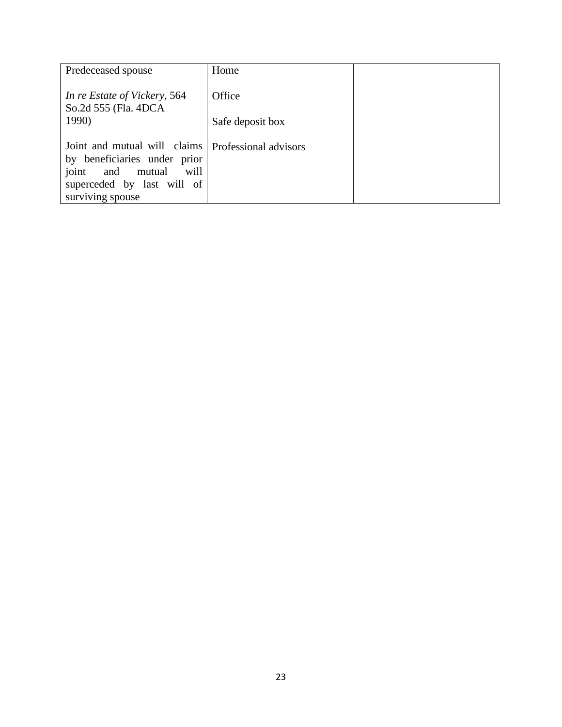| Predeceased spouse                                                                                                           | Home                       |  |
|------------------------------------------------------------------------------------------------------------------------------|----------------------------|--|
| In re Estate of Vickery, 564<br>So.2d 555 (Fla. 4DCA<br>1990)                                                                | Office<br>Safe deposit box |  |
|                                                                                                                              |                            |  |
| Joint and mutual will claims<br>by beneficiaries under prior<br>will<br>joint<br>and<br>mutual<br>superceded by last will of | Professional advisors      |  |
| surviving spouse                                                                                                             |                            |  |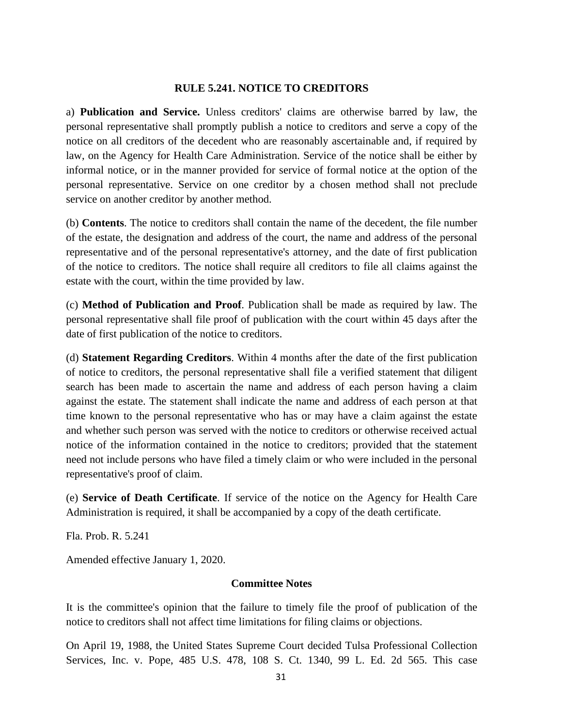## **RULE 5.241. NOTICE TO CREDITORS**

a) **Publication and Service.** Unless creditors' claims are otherwise barred by law, the personal representative shall promptly publish a notice to creditors and serve a copy of the notice on all creditors of the decedent who are reasonably ascertainable and, if required by law, on the Agency for Health Care Administration. Service of the notice shall be either by informal notice, or in the manner provided for service of formal notice at the option of the personal representative. Service on one creditor by a chosen method shall not preclude service on another creditor by another method.

(b) **Contents**. The notice to creditors shall contain the name of the decedent, the file number of the estate, the designation and address of the court, the name and address of the personal representative and of the personal representative's attorney, and the date of first publication of the notice to creditors. The notice shall require all creditors to file all claims against the estate with the court, within the time provided by law.

(c) **Method of Publication and Proof**. Publication shall be made as required by law. The personal representative shall file proof of publication with the court within 45 days after the date of first publication of the notice to creditors.

(d) **Statement Regarding Creditors**. Within 4 months after the date of the first publication of notice to creditors, the personal representative shall file a verified statement that diligent search has been made to ascertain the name and address of each person having a claim against the estate. The statement shall indicate the name and address of each person at that time known to the personal representative who has or may have a claim against the estate and whether such person was served with the notice to creditors or otherwise received actual notice of the information contained in the notice to creditors; provided that the statement need not include persons who have filed a timely claim or who were included in the personal representative's proof of claim.

(e) **Service of Death Certificate**. If service of the notice on the Agency for Health Care Administration is required, it shall be accompanied by a copy of the death certificate.

Fla. Prob. R. 5.241

Amended effective January 1, 2020.

## **Committee Notes**

It is the committee's opinion that the failure to timely file the proof of publication of the notice to creditors shall not affect time limitations for filing claims or objections.

On April 19, 1988, the United States Supreme Court decided Tulsa Professional Collection Services, Inc. v. Pope, 485 U.S. 478, 108 S. Ct. 1340, 99 L. Ed. 2d 565. This case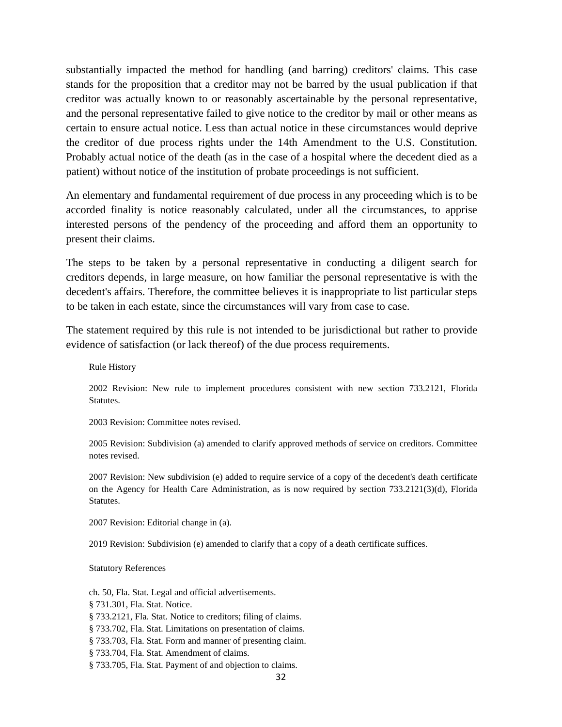substantially impacted the method for handling (and barring) creditors' claims. This case stands for the proposition that a creditor may not be barred by the usual publication if that creditor was actually known to or reasonably ascertainable by the personal representative, and the personal representative failed to give notice to the creditor by mail or other means as certain to ensure actual notice. Less than actual notice in these circumstances would deprive the creditor of due process rights under the 14th Amendment to the U.S. Constitution. Probably actual notice of the death (as in the case of a hospital where the decedent died as a patient) without notice of the institution of probate proceedings is not sufficient.

An elementary and fundamental requirement of due process in any proceeding which is to be accorded finality is notice reasonably calculated, under all the circumstances, to apprise interested persons of the pendency of the proceeding and afford them an opportunity to present their claims.

The steps to be taken by a personal representative in conducting a diligent search for creditors depends, in large measure, on how familiar the personal representative is with the decedent's affairs. Therefore, the committee believes it is inappropriate to list particular steps to be taken in each estate, since the circumstances will vary from case to case.

The statement required by this rule is not intended to be jurisdictional but rather to provide evidence of satisfaction (or lack thereof) of the due process requirements.

Rule History

2002 Revision: New rule to implement procedures consistent with new section 733.2121, Florida Statutes.

2003 Revision: Committee notes revised.

2005 Revision: Subdivision (a) amended to clarify approved methods of service on creditors. Committee notes revised.

2007 Revision: New subdivision (e) added to require service of a copy of the decedent's death certificate on the Agency for Health Care Administration, as is now required by section 733.2121(3)(d), Florida Statutes.

2007 Revision: Editorial change in (a).

2019 Revision: Subdivision (e) amended to clarify that a copy of a death certificate suffices.

Statutory References

ch. 50, Fla. Stat. Legal and official advertisements.

§ 731.301, Fla. Stat. Notice.

§ 733.2121, Fla. Stat. Notice to creditors; filing of claims.

§ 733.702, Fla. Stat. Limitations on presentation of claims.

§ 733.703, Fla. Stat. Form and manner of presenting claim.

§ 733.704, Fla. Stat. Amendment of claims.

§ 733.705, Fla. Stat. Payment of and objection to claims.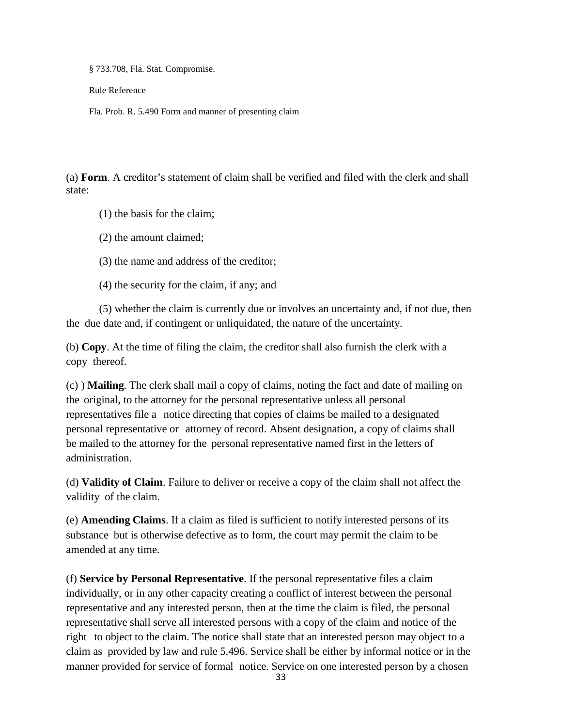§ 733.708, Fla. Stat. Compromise.

Rule Reference

Fla. Prob. R. 5.490 Form and manner of presenting claim

(a) **Form**. A creditor's statement of claim shall be verified and filed with the clerk and shall state:

- (1) the basis for the claim;
- (2) the amount claimed;
- (3) the name and address of the creditor;
- (4) the security for the claim, if any; and

(5) whether the claim is currently due or involves an uncertainty and, if not due, then the due date and, if contingent or unliquidated, the nature of the uncertainty.

(b) **Copy**. At the time of filing the claim, the creditor shall also furnish the clerk with a copy thereof.

(c) ) **Mailing**. The clerk shall mail a copy of claims, noting the fact and date of mailing on the original, to the attorney for the personal representative unless all personal representatives file a notice directing that copies of claims be mailed to a designated personal representative or attorney of record. Absent designation, a copy of claims shall be mailed to the attorney for the personal representative named first in the letters of administration.

(d) **Validity of Claim**. Failure to deliver or receive a copy of the claim shall not affect the validity of the claim.

(e) **Amending Claims**. If a claim as filed is sufficient to notify interested persons of its substance but is otherwise defective as to form, the court may permit the claim to be amended at any time.

(f) **Service by Personal Representative**. If the personal representative files a claim individually, or in any other capacity creating a conflict of interest between the personal representative and any interested person, then at the time the claim is filed, the personal representative shall serve all interested persons with a copy of the claim and notice of the right to object to the claim. The notice shall state that an interested person may object to a claim as provided by law and rule 5.496. Service shall be either by informal notice or in the manner provided for service of formal notice. Service on one interested person by a chosen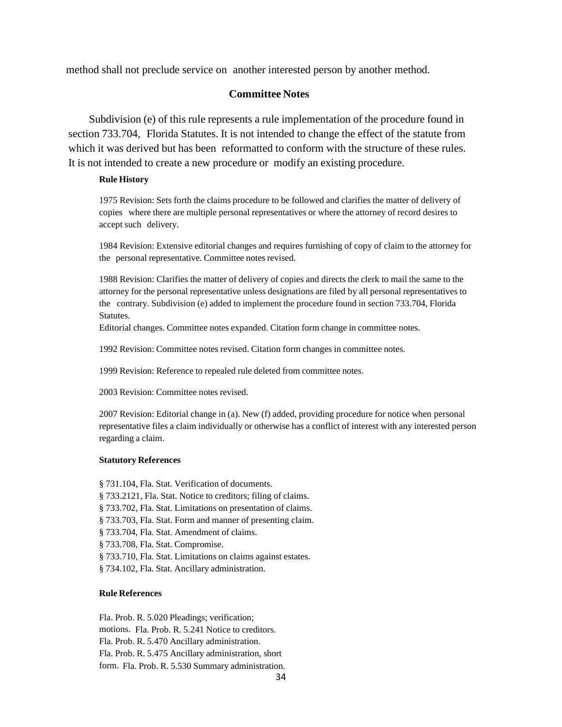method shall not preclude service on another interested person by another method.

### **Committee Notes**

Subdivision (e) of this rule represents a rule implementation of the procedure found in section 733.704, Florida Statutes. It is not intended to change the effect of the statute from which it was derived but has been reformatted to conform with the structure of these rules. It is not intended to create a new procedure or modify an existing procedure.

### **Rule History**

1975 Revision: Sets forth the claims procedure to be followed and clarifies the matter of delivery of copies where there are multiple personal representatives or where the attorney of record desires to accept such delivery.

1984 Revision: Extensive editorial changes and requires furnishing of copy of claim to the attorney for the personal representative. Committee notes revised.

1988 Revision: Clarifies the matter of delivery of copies and directs the clerk to mail the same to the attorney for the personal representative unless designations are filed by all personal representatives to the contrary. Subdivision (e) added to implement the procedure found in section 733.704, Florida Statutes.

Editorial changes. Committee notes expanded. Citation form change in committee notes.

1992 Revision: Committee notes revised. Citation form changes in committee notes.

1999 Revision: Reference to repealed rule deleted from committee notes.

2003 Revision: Committee notes revised.

2007 Revision: Editorial change in (a). New (f) added, providing procedure for notice when personal representative files a claim individually or otherwise has a conflict of interest with any interested person regarding a claim.

### **Statutory References**

§ 731.104, Fla. Stat. Verification of documents. § 733.2121, Fla. Stat. Notice to creditors; filing of claims. § 733.702, Fla. Stat. Limitations on presentation of claims. § 733.703, Fla. Stat. Form and manner of presenting claim. § 733.704, Fla. Stat. Amendment of claims. § 733.708, Fla. Stat. Compromise. § 733.710, Fla. Stat. Limitations on claims against estates. § 734.102, Fla. Stat. Ancillary administration.

### **Rule References**

Fla. Prob. R. 5.020 Pleadings; verification; motions. Fla. Prob. R. 5.241 Notice to creditors. Fla. Prob. R. 5.470 Ancillary administration. Fla. Prob. R. 5.475 Ancillary administration, short form. Fla. Prob. R. 5.530 Summary administration.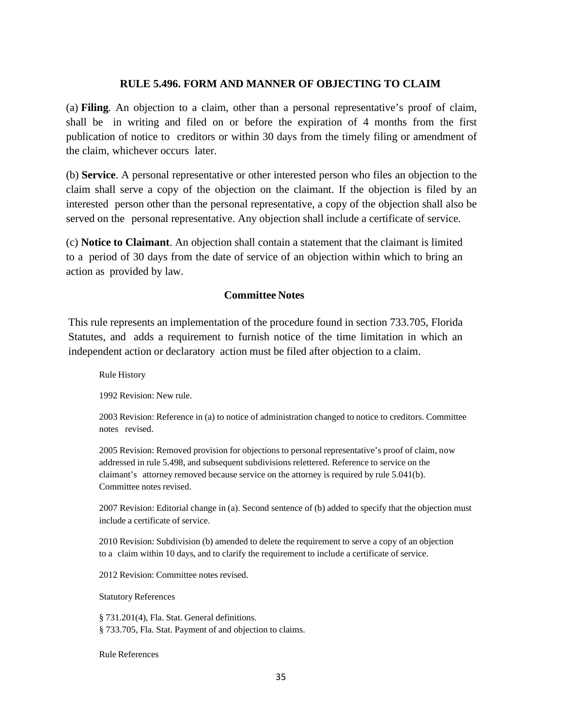## **RULE 5.496. FORM AND MANNER OF OBJECTING TO CLAIM**

(a) **Filing**. An objection to a claim, other than a personal representative's proof of claim, shall be in writing and filed on or before the expiration of 4 months from the first publication of notice to creditors or within 30 days from the timely filing or amendment of the claim, whichever occurs later.

(b) **Service**. A personal representative or other interested person who files an objection to the claim shall serve a copy of the objection on the claimant. If the objection is filed by an interested person other than the personal representative, a copy of the objection shall also be served on the personal representative. Any objection shall include a certificate of service.

(c) **Notice to Claimant**. An objection shall contain a statement that the claimant is limited to a period of 30 days from the date of service of an objection within which to bring an action as provided by law.

## **Committee Notes**

This rule represents an implementation of the procedure found in section 733.705, Florida Statutes, and adds a requirement to furnish notice of the time limitation in which an independent action or declaratory action must be filed after objection to a claim.

Rule History

1992 Revision: New rule.

2003 Revision: Reference in (a) to notice of administration changed to notice to creditors. Committee notes revised.

2005 Revision: Removed provision for objections to personal representative's proof of claim, now addressed in rule 5.498, and subsequent subdivisions relettered. Reference to service on the claimant's attorney removed because service on the attorney is required by rule 5.041(b). Committee notes revised.

2007 Revision: Editorial change in (a). Second sentence of (b) added to specify that the objection must include a certificate of service.

2010 Revision: Subdivision (b) amended to delete the requirement to serve a copy of an objection to a claim within 10 days, and to clarify the requirement to include a certificate of service.

2012 Revision: Committee notes revised.

Statutory References

§ 731.201(4), Fla. Stat. General definitions. § 733.705, Fla. Stat. Payment of and objection to claims.

Rule References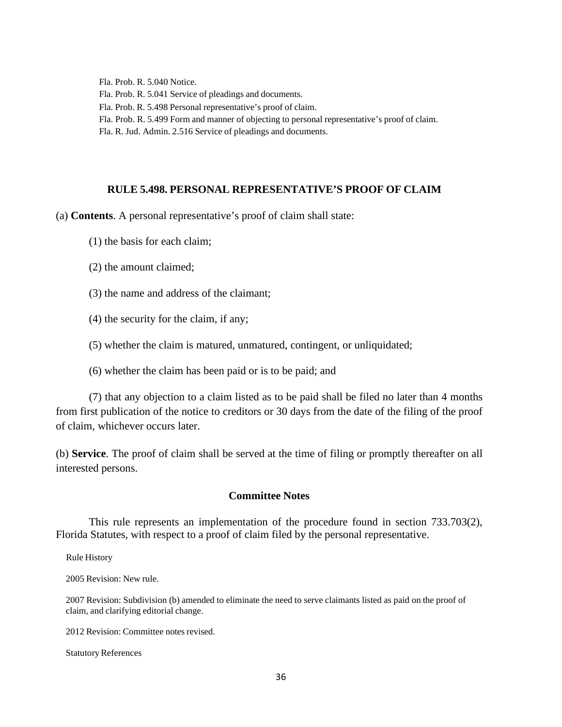Fla. Prob. R. 5.040 Notice.

Fla. Prob. R. 5.041 Service of pleadings and documents. Fla. Prob. R. 5.498 Personal representative's proof of claim. Fla. Prob. R. 5.499 Form and manner of objecting to personal representative's proof of claim. Fla. R. Jud. Admin. 2.516 Service of pleadings and documents.

## **RULE 5.498. PERSONAL REPRESENTATIVE'S PROOF OF CLAIM**

(a) **Contents**. A personal representative's proof of claim shall state:

- (1) the basis for each claim;
- (2) the amount claimed;
- (3) the name and address of the claimant;
- (4) the security for the claim, if any;
- (5) whether the claim is matured, unmatured, contingent, or unliquidated;
- (6) whether the claim has been paid or is to be paid; and

(7) that any objection to a claim listed as to be paid shall be filed no later than 4 months from first publication of the notice to creditors or 30 days from the date of the filing of the proof of claim, whichever occurs later.

(b) **Service**. The proof of claim shall be served at the time of filing or promptly thereafter on all interested persons.

## **Committee Notes**

This rule represents an implementation of the procedure found in section 733.703(2), Florida Statutes, with respect to a proof of claim filed by the personal representative.

Rule History

2005 Revision: New rule.

2007 Revision: Subdivision (b) amended to eliminate the need to serve claimants listed as paid on the proof of claim, and clarifying editorial change.

2012 Revision: Committee notes revised.

**Statutory References**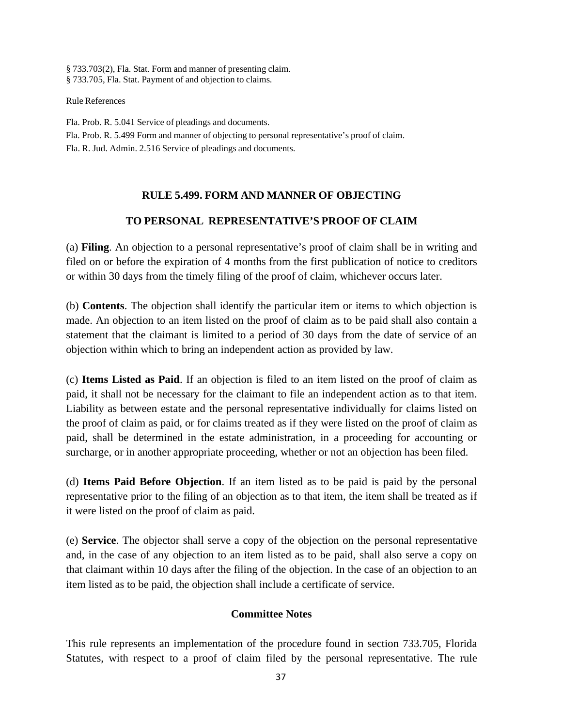§ 733.703(2), Fla. Stat. Form and manner of presenting claim. § 733.705, Fla. Stat. Payment of and objection to claims.

Rule References

Fla. Prob. R. 5.041 Service of pleadings and documents. Fla. Prob. R. 5.499 Form and manner of objecting to personal representative's proof of claim. Fla. R. Jud. Admin. 2.516 Service of pleadings and documents.

# **RULE 5.499. FORM AND MANNER OF OBJECTING**

# **TO PERSONAL REPRESENTATIVE'S PROOF OF CLAIM**

(a) **Filing**. An objection to a personal representative's proof of claim shall be in writing and filed on or before the expiration of 4 months from the first publication of notice to creditors or within 30 days from the timely filing of the proof of claim, whichever occurs later.

(b) **Contents**. The objection shall identify the particular item or items to which objection is made. An objection to an item listed on the proof of claim as to be paid shall also contain a statement that the claimant is limited to a period of 30 days from the date of service of an objection within which to bring an independent action as provided by law.

(c) **Items Listed as Paid**. If an objection is filed to an item listed on the proof of claim as paid, it shall not be necessary for the claimant to file an independent action as to that item. Liability as between estate and the personal representative individually for claims listed on the proof of claim as paid, or for claims treated as if they were listed on the proof of claim as paid, shall be determined in the estate administration, in a proceeding for accounting or surcharge, or in another appropriate proceeding, whether or not an objection has been filed.

(d) **Items Paid Before Objection**. If an item listed as to be paid is paid by the personal representative prior to the filing of an objection as to that item, the item shall be treated as if it were listed on the proof of claim as paid.

(e) **Service**. The objector shall serve a copy of the objection on the personal representative and, in the case of any objection to an item listed as to be paid, shall also serve a copy on that claimant within 10 days after the filing of the objection. In the case of an objection to an item listed as to be paid, the objection shall include a certificate of service.

## **Committee Notes**

This rule represents an implementation of the procedure found in section 733.705, Florida Statutes, with respect to a proof of claim filed by the personal representative. The rule